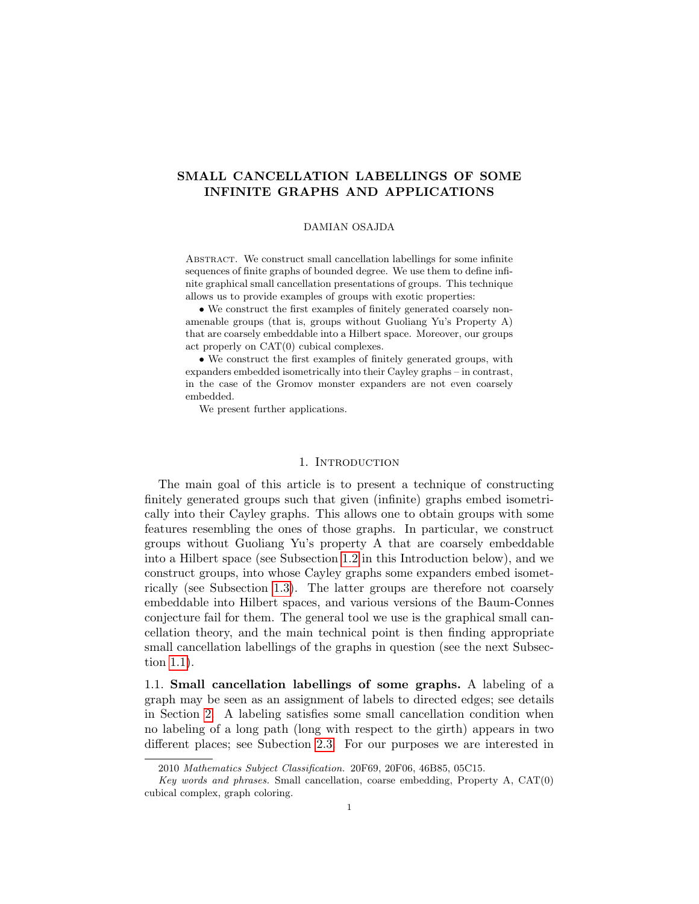# SMALL CANCELLATION LABELLINGS OF SOME INFINITE GRAPHS AND APPLICATIONS

## DAMIAN OSAJDA

ABSTRACT. We construct small cancellation labellings for some infinite sequences of finite graphs of bounded degree. We use them to define infinite graphical small cancellation presentations of groups. This technique allows us to provide examples of groups with exotic properties:

• We construct the first examples of finitely generated coarsely nonamenable groups (that is, groups without Guoliang Yu's Property A) that are coarsely embeddable into a Hilbert space. Moreover, our groups act properly on CAT(0) cubical complexes.

• We construct the first examples of finitely generated groups, with expanders embedded isometrically into their Cayley graphs – in contrast, in the case of the Gromov monster expanders are not even coarsely embedded.

We present further applications.

### 1. INTRODUCTION

The main goal of this article is to present a technique of constructing finitely generated groups such that given (infinite) graphs embed isometrically into their Cayley graphs. This allows one to obtain groups with some features resembling the ones of those graphs. In particular, we construct groups without Guoliang Yu's property A that are coarsely embeddable into a Hilbert space (see Subsection [1.2](#page-1-0) in this Introduction below), and we construct groups, into whose Cayley graphs some expanders embed isometrically (see Subsection [1.3\)](#page-3-0). The latter groups are therefore not coarsely embeddable into Hilbert spaces, and various versions of the Baum-Connes conjecture fail for them. The general tool we use is the graphical small cancellation theory, and the main technical point is then finding appropriate small cancellation labellings of the graphs in question (see the next Subsection [1.1\)](#page-0-0).

<span id="page-0-0"></span>1.1. Small cancellation labellings of some graphs. A labeling of a graph may be seen as an assignment of labels to directed edges; see details in Section [2.](#page-4-0) A labeling satisfies some small cancellation condition when no labeling of a long path (long with respect to the girth) appears in two different places; see Subection [2.3.](#page-13-0) For our purposes we are interested in

<sup>2010</sup> Mathematics Subject Classification. 20F69, 20F06, 46B85, 05C15.

Key words and phrases. Small cancellation, coarse embedding, Property A,  $CAT(0)$ cubical complex, graph coloring.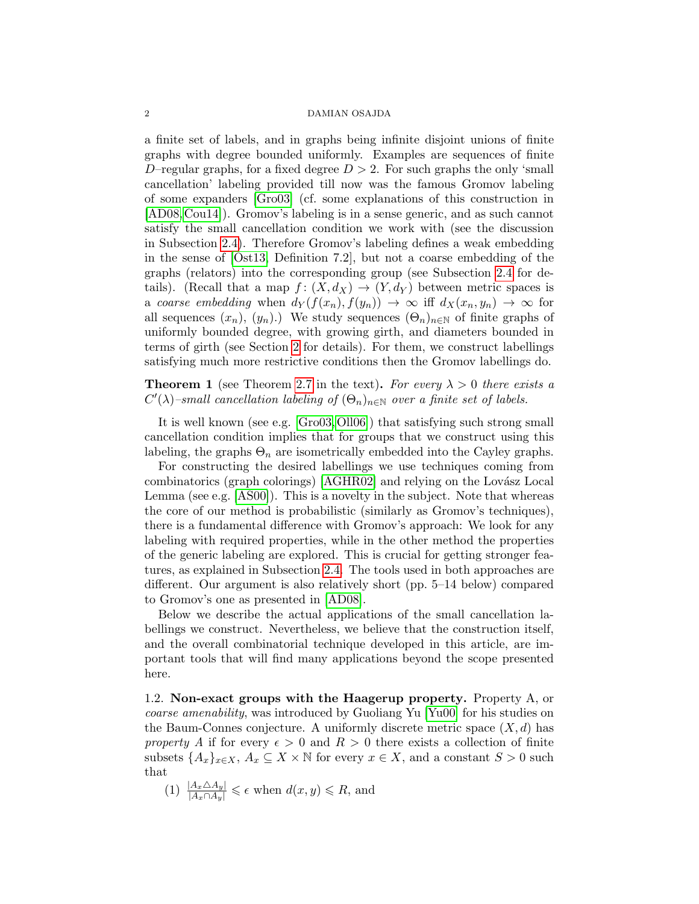a finite set of labels, and in graphs being infinite disjoint unions of finite graphs with degree bounded uniformly. Examples are sequences of finite D–regular graphs, for a fixed degree  $D > 2$ . For such graphs the only 'small cancellation' labeling provided till now was the famous Gromov labeling of some expanders [\[Gro03\]](#page-29-0) (cf. some explanations of this construction in [\[AD08,](#page-28-0)[Cou14\]](#page-29-1)). Gromov's labeling is in a sense generic, and as such cannot satisfy the small cancellation condition we work with (see the discussion in Subsection [2.4\)](#page-14-0). Therefore Gromov's labeling defines a weak embedding in the sense of [\[Ost13,](#page-29-2) Definition 7.2], but not a coarse embedding of the graphs (relators) into the corresponding group (see Subsection [2.4](#page-14-0) for details). (Recall that a map  $f: (X, d_X) \to (Y, d_Y)$  between metric spaces is a coarse embedding when  $d_Y(f(x_n), f(y_n)) \to \infty$  iff  $d_X(x_n, y_n) \to \infty$  for all sequences  $(x_n)$ ,  $(y_n)$ .) We study sequences  $(\Theta_n)_{n\in\mathbb{N}}$  of finite graphs of uniformly bounded degree, with growing girth, and diameters bounded in terms of girth (see Section [2](#page-4-0) for details). For them, we construct labellings satisfying much more restrictive conditions then the Gromov labellings do.

**Theorem 1** (see Theorem [2.7](#page-13-1) in the text). For every  $\lambda > 0$  there exists a  $C'(\lambda)$ -small cancellation labeling of  $(\Theta_n)_{n\in\mathbb{N}}$  over a finite set of labels.

It is well known (see e.g. [\[Gro03,](#page-29-0)[Oll06\]](#page-29-3)) that satisfying such strong small cancellation condition implies that for groups that we construct using this labeling, the graphs  $\Theta_n$  are isometrically embedded into the Cayley graphs.

For constructing the desired labellings we use techniques coming from combinatorics (graph colorings)  $[AGHR02]$  and relying on the Lovász Local Lemma (see e.g. [\[AS00\]](#page-28-2)). This is a novelty in the subject. Note that whereas the core of our method is probabilistic (similarly as Gromov's techniques), there is a fundamental difference with Gromov's approach: We look for any labeling with required properties, while in the other method the properties of the generic labeling are explored. This is crucial for getting stronger features, as explained in Subsection [2.4.](#page-14-0) The tools used in both approaches are different. Our argument is also relatively short (pp. 5–14 below) compared to Gromov's one as presented in [\[AD08\]](#page-28-0).

Below we describe the actual applications of the small cancellation labellings we construct. Nevertheless, we believe that the construction itself, and the overall combinatorial technique developed in this article, are important tools that will find many applications beyond the scope presented here.

<span id="page-1-0"></span>1.2. Non-exact groups with the Haagerup property. Property A, or coarse amenability, was introduced by Guoliang Yu [\[Yu00\]](#page-30-0) for his studies on the Baum-Connes conjecture. A uniformly discrete metric space  $(X, d)$  has property A if for every  $\epsilon > 0$  and  $R > 0$  there exists a collection of finite subsets  $\{A_x\}_{x\in X}, A_x \subseteq X \times \mathbb{N}$  for every  $x \in X$ , and a constant  $S > 0$  such that

(1)  $\frac{|A_x \triangle A_y|}{|A_x \cap A_y|} \leq \epsilon$  when  $d(x, y) \leq R$ , and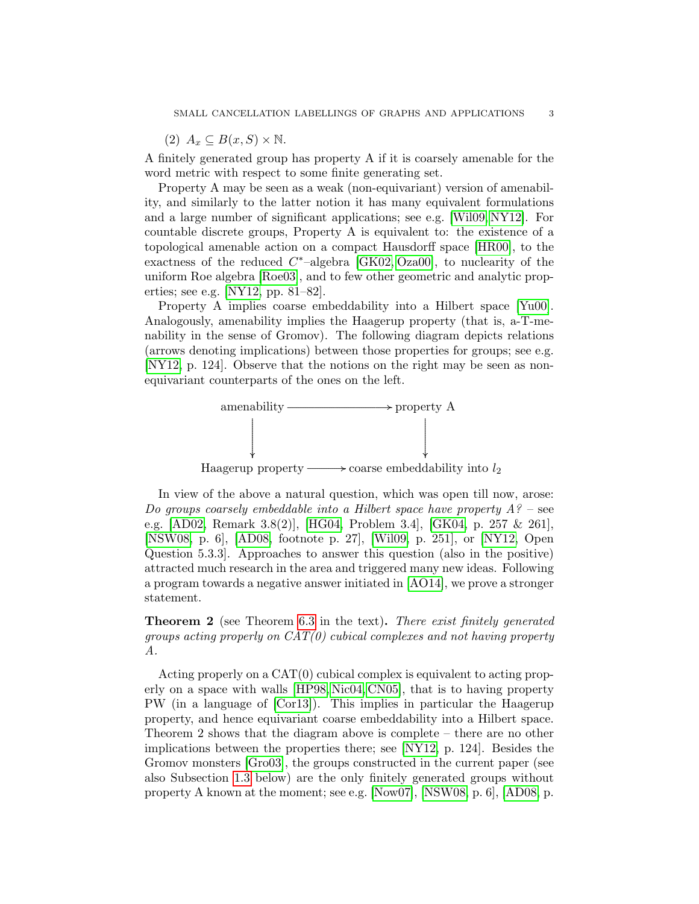$(2)$   $A_x \subseteq B(x, S) \times \mathbb{N}$ .

A finitely generated group has property A if it is coarsely amenable for the word metric with respect to some finite generating set.

Property A may be seen as a weak (non-equivariant) version of amenability, and similarly to the latter notion it has many equivalent formulations and a large number of significant applications; see e.g. [\[Wil09,](#page-30-1) [NY12\]](#page-29-4). For countable discrete groups, Property A is equivalent to: the existence of a topological amenable action on a compact Hausdorff space [\[HR00\]](#page-29-5), to the exactness of the reduced  $C^*$ -algebra [\[GK02,](#page-29-6) [Oza00\]](#page-29-7), to nuclearity of the uniform Roe algebra [\[Roe03\]](#page-29-8), and to few other geometric and analytic properties; see e.g. [\[NY12,](#page-29-4) pp. 81–82].

Property A implies coarse embeddability into a Hilbert space [\[Yu00\]](#page-30-0). Analogously, amenability implies the Haagerup property (that is, a-T-menability in the sense of Gromov). The following diagram depicts relations (arrows denoting implications) between those properties for groups; see e.g. [\[NY12,](#page-29-4) p. 124]. Observe that the notions on the right may be seen as nonequivariant counterparts of the ones on the left.



In view of the above a natural question, which was open till now, arose: Do groups coarsely embeddable into a Hilbert space have property  $A$ ? – see e.g. [\[AD02,](#page-28-3) Remark 3.8(2)], [\[HG04,](#page-29-9) Problem 3.4], [\[GK04,](#page-29-10) p. 257 & 261], [\[NSW08,](#page-29-11) p. 6], [\[AD08,](#page-28-0) footnote p. 27], [\[Wil09,](#page-30-1) p. 251], or [\[NY12,](#page-29-4) Open Question 5.3.3]. Approaches to answer this question (also in the positive) attracted much research in the area and triggered many new ideas. Following a program towards a negative answer initiated in [\[AO14\]](#page-28-4), we prove a stronger statement.

Theorem 2 (see Theorem [6.3](#page-28-5) in the text). There exist finitely generated groups acting properly on  $CAT(0)$  cubical complexes and not having property A.

Acting properly on a CAT(0) cubical complex is equivalent to acting properly on a space with walls [\[HP98,](#page-29-12) [Nic04,](#page-29-13) [CN05\]](#page-28-6), that is to having property PW (in a language of [\[Cor13\]](#page-28-7)). This implies in particular the Haagerup property, and hence equivariant coarse embeddability into a Hilbert space. Theorem 2 shows that the diagram above is complete – there are no other implications between the properties there; see [\[NY12,](#page-29-4) p. 124]. Besides the Gromov monsters [\[Gro03\]](#page-29-0), the groups constructed in the current paper (see also Subsection [1.3](#page-3-0) below) are the only finitely generated groups without property A known at the moment; see e.g. [\[Now07\]](#page-29-14), [\[NSW08,](#page-29-11) p. 6], [\[AD08,](#page-28-0) p.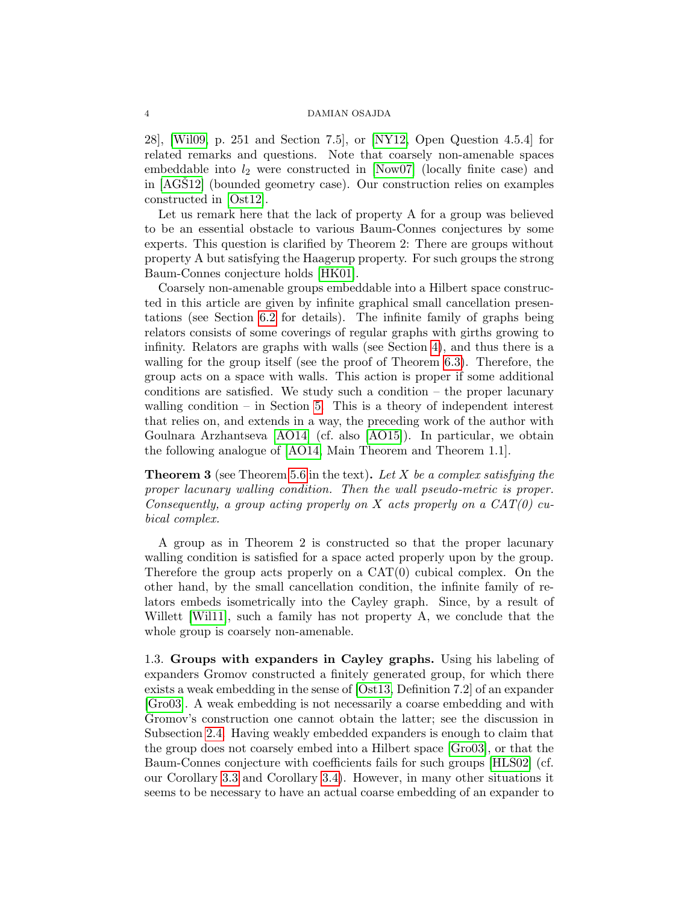28], [\[Wil09,](#page-30-1) p. 251 and Section 7.5], or [\[NY12,](#page-29-4) Open Question 4.5.4] for related remarks and questions. Note that coarsely non-amenable spaces embeddable into  $l_2$  were constructed in [\[Now07\]](#page-29-14) (locally finite case) and in  $[AGS12]$  (bounded geometry case). Our construction relies on examples constructed in [\[Ost12\]](#page-29-15).

Let us remark here that the lack of property A for a group was believed to be an essential obstacle to various Baum-Connes conjectures by some experts. This question is clarified by Theorem 2: There are groups without property A but satisfying the Haagerup property. For such groups the strong Baum-Connes conjecture holds [\[HK01\]](#page-29-16).

Coarsely non-amenable groups embeddable into a Hilbert space constructed in this article are given by infinite graphical small cancellation presentations (see Section [6.2](#page-27-0) for details). The infinite family of graphs being relators consists of some coverings of regular graphs with girths growing to infinity. Relators are graphs with walls (see Section [4\)](#page-18-0), and thus there is a walling for the group itself (see the proof of Theorem [6.3\)](#page-28-5). Therefore, the group acts on a space with walls. This action is proper if some additional conditions are satisfied. We study such a condition  $-$  the proper lacunary walling condition – in Section [5.](#page-19-0) This is a theory of independent interest that relies on, and extends in a way, the preceding work of the author with Goulnara Arzhantseva [\[AO14\]](#page-28-4) (cf. also [\[AO15\]](#page-28-9)). In particular, we obtain the following analogue of [\[AO14,](#page-28-4) Main Theorem and Theorem 1.1].

**Theorem 3** (see Theorem [5.6](#page-24-0) in the text). Let X be a complex satisfying the proper lacunary walling condition. Then the wall pseudo-metric is proper. Consequently, a group acting properly on X acts properly on a  $CAT(0)$  cubical complex.

A group as in Theorem 2 is constructed so that the proper lacunary walling condition is satisfied for a space acted properly upon by the group. Therefore the group acts properly on a  $CAT(0)$  cubical complex. On the other hand, by the small cancellation condition, the infinite family of relators embeds isometrically into the Cayley graph. Since, by a result of Willett [\[Wil11\]](#page-30-2), such a family has not property A, we conclude that the whole group is coarsely non-amenable.

<span id="page-3-0"></span>1.3. Groups with expanders in Cayley graphs. Using his labeling of expanders Gromov constructed a finitely generated group, for which there exists a weak embedding in the sense of [\[Ost13,](#page-29-2) Definition 7.2] of an expander [\[Gro03\]](#page-29-0). A weak embedding is not necessarily a coarse embedding and with Gromov's construction one cannot obtain the latter; see the discussion in Subsection [2.4.](#page-14-0) Having weakly embedded expanders is enough to claim that the group does not coarsely embed into a Hilbert space [\[Gro03\]](#page-29-0), or that the Baum-Connes conjecture with coefficients fails for such groups [\[HLS02\]](#page-29-17) (cf. our Corollary [3.3](#page-17-0) and Corollary [3.4\)](#page-17-1). However, in many other situations it seems to be necessary to have an actual coarse embedding of an expander to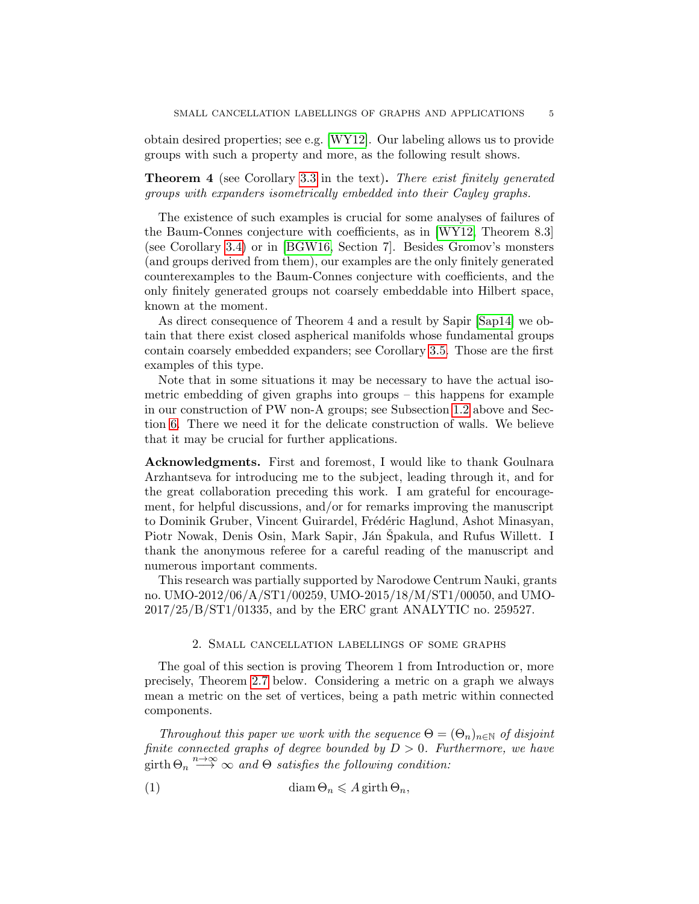obtain desired properties; see e.g. [\[WY12\]](#page-30-3). Our labeling allows us to provide groups with such a property and more, as the following result shows.

Theorem 4 (see Corollary [3.3](#page-17-0) in the text). There exist finitely generated groups with expanders isometrically embedded into their Cayley graphs.

The existence of such examples is crucial for some analyses of failures of the Baum-Connes conjecture with coefficients, as in [\[WY12,](#page-30-3) Theorem 8.3] (see Corollary [3.4\)](#page-17-1) or in [\[BGW16,](#page-28-10) Section 7]. Besides Gromov's monsters (and groups derived from them), our examples are the only finitely generated counterexamples to the Baum-Connes conjecture with coefficients, and the only finitely generated groups not coarsely embeddable into Hilbert space, known at the moment.

As direct consequence of Theorem 4 and a result by Sapir [\[Sap14\]](#page-29-18) we obtain that there exist closed aspherical manifolds whose fundamental groups contain coarsely embedded expanders; see Corollary [3.5.](#page-17-2) Those are the first examples of this type.

Note that in some situations it may be necessary to have the actual isometric embedding of given graphs into groups – this happens for example in our construction of PW non-A groups; see Subsection [1.2](#page-1-0) above and Section [6.](#page-24-1) There we need it for the delicate construction of walls. We believe that it may be crucial for further applications.

Acknowledgments. First and foremost, I would like to thank Goulnara Arzhantseva for introducing me to the subject, leading through it, and for the great collaboration preceding this work. I am grateful for encouragement, for helpful discussions, and/or for remarks improving the manuscript to Dominik Gruber, Vincent Guirardel, Frédéric Haglund, Ashot Minasyan, Piotr Nowak, Denis Osin, Mark Sapir, Ján Spakula, and Rufus Willett. I thank the anonymous referee for a careful reading of the manuscript and numerous important comments.

This research was partially supported by Narodowe Centrum Nauki, grants no. UMO-2012/06/A/ST1/00259, UMO-2015/18/M/ST1/00050, and UMO-2017/25/B/ST1/01335, and by the ERC grant ANALYTIC no. 259527.

## 2. Small cancellation labellings of some graphs

<span id="page-4-0"></span>The goal of this section is proving Theorem 1 from Introduction or, more precisely, Theorem [2.7](#page-13-1) below. Considering a metric on a graph we always mean a metric on the set of vertices, being a path metric within connected components.

Throughout this paper we work with the sequence  $\Theta = (\Theta_n)_{n \in \mathbb{N}}$  of disjoint finite connected graphs of degree bounded by  $D > 0$ . Furthermore, we have  $\lim_{n \to \infty} \sum_{n=0}^{\infty} a_n d_n \Theta$  satisfies the following condition:

<span id="page-4-1"></span>(1) 
$$
\text{diam}\,\Theta_n \leqslant A\,\text{girth}\,\Theta_n,
$$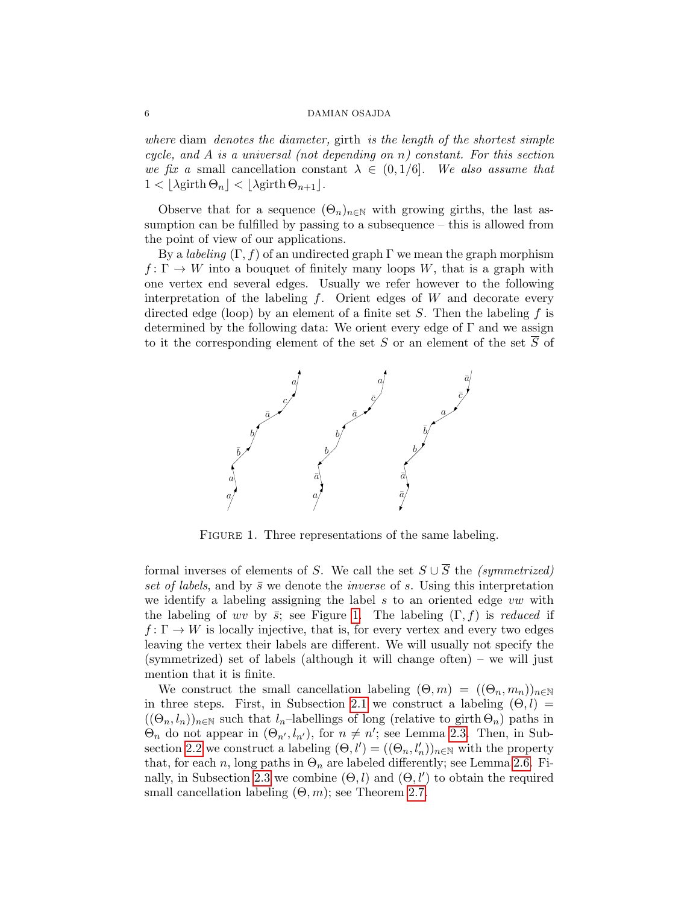where diam denotes the diameter, girth is the length of the shortest simple cycle, and A is a universal (not depending on n) constant. For this section we fix a small cancellation constant  $\lambda \in (0, 1/6]$ . We also assume that  $1 < |\lambda$ girth  $\Theta_n| < |\lambda$ girth  $\Theta_{n+1}|$ .

Observe that for a sequence  $(\Theta_n)_{n\in\mathbb{N}}$  with growing girths, the last assumption can be fulfilled by passing to a subsequence – this is allowed from the point of view of our applications.

By a *labeling*  $(\Gamma, f)$  of an undirected graph  $\Gamma$  we mean the graph morphism  $f: \Gamma \to W$  into a bouquet of finitely many loops W, that is a graph with one vertex end several edges. Usually we refer however to the following interpretation of the labeling  $f$ . Orient edges of  $W$  and decorate every directed edge (loop) by an element of a finite set  $S$ . Then the labeling f is determined by the following data: We orient every edge of  $\Gamma$  and we assign to it the corresponding element of the set S or an element of the set  $\overline{S}$  of



<span id="page-5-0"></span>FIGURE 1. Three representations of the same labeling.

formal inverses of elements of S. We call the set  $S \cup \overline{S}$  the (symmetrized) set of labels, and by  $\bar{s}$  we denote the *inverse* of s. Using this interpretation we identify a labeling assigning the label  $s$  to an oriented edge  $vw$  with the labeling of wv by  $\bar{s}$ ; see Figure [1.](#page-5-0) The labeling  $(\Gamma, f)$  is reduced if  $f: \Gamma \to W$  is locally injective, that is, for every vertex and every two edges leaving the vertex their labels are different. We will usually not specify the (symmetrized) set of labels (although it will change often) – we will just mention that it is finite.

We construct the small cancellation labeling  $(\Theta, m) = ((\Theta_n, m_n))_{n \in \mathbb{N}}$ in three steps. First, in Subsection [2.1](#page-6-0) we construct a labeling  $(\Theta, l)$  =  $((\Theta_n, l_n))_{n\in\mathbb{N}}$  such that  $l_n$ –labellings of long (relative to girth  $\Theta_n$ ) paths in  $\Theta_n$  do not appear in  $(\Theta_{n'}, l_{n'})$ , for  $n \neq n'$ ; see Lemma [2.3.](#page-7-0) Then, in Sub-section [2.2](#page-7-1) we construct a labeling  $(\Theta, l') = ((\Theta_n, l'_n))_{n \in \mathbb{N}}$  with the property that, for each n, long paths in  $\Theta_n$  are labeled differently; see Lemma [2.6.](#page-13-2) Fi-nally, in Subsection [2.3](#page-13-0) we combine  $(\Theta, l)$  and  $(\Theta, l')$  to obtain the required small cancellation labeling  $(\Theta, m)$ ; see Theorem [2.7.](#page-13-1)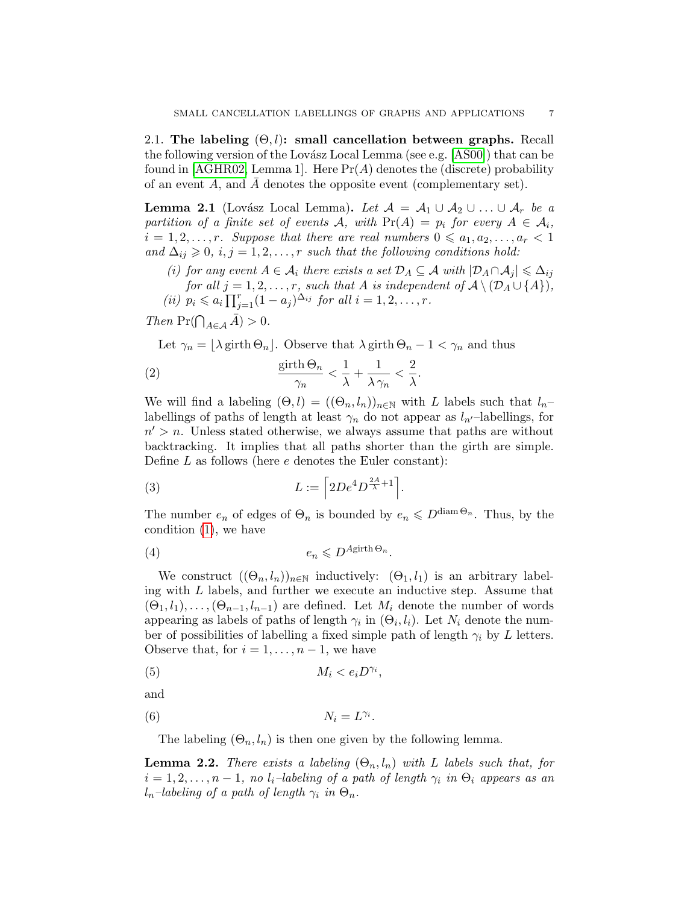<span id="page-6-0"></span>2.1. The labeling  $(\Theta, l)$ : small cancellation between graphs. Recall the following version of the Lovász Local Lemma (see e.g.  $[AS00]$ ) that can be found in [\[AGHR02,](#page-28-1) Lemma 1]. Here  $Pr(A)$  denotes the (discrete) probability of an event  $A$ , and  $A$  denotes the opposite event (complementary set).

<span id="page-6-1"></span>**Lemma 2.1** (Lovász Local Lemma). Let  $\mathcal{A} = \mathcal{A}_1 \cup \mathcal{A}_2 \cup ... \cup \mathcal{A}_r$  be a partition of a finite set of events A, with  $Pr(A) = p_i$  for every  $A \in \mathcal{A}_i$ ,  $i = 1, 2, \ldots, r$ . Suppose that there are real numbers  $0 \leq a_1, a_2, \ldots, a_r < 1$ and  $\Delta_{ij} \geqslant 0, i, j = 1, 2, \ldots, r$  such that the following conditions hold:

- (i) for any event  $A \in \mathcal{A}_i$  there exists a set  $\mathcal{D}_A \subseteq \mathcal{A}$  with  $|\mathcal{D}_A \cap \mathcal{A}_j| \leq \Delta_{ij}$ for all  $j = 1, 2, \ldots, r$ , such that A is independent of  $\mathcal{A} \setminus (\mathcal{D}_A \cup \{A\}),$
- (*ii*)  $p_i \leq a_i \prod_{j=1}^r (1 a_j)^{\Delta_{ij}}$  for all  $i = 1, 2, ..., r$ .

Then  $\Pr(\bigcap_{A \in \mathcal{A}} \bar{A}) > 0$ .

Let  $\gamma_n = |\lambda \text{ girth } \Theta_n|$ . Observe that  $\lambda \text{ girth } \Theta_n - 1 < \gamma_n$  and thus

<span id="page-6-5"></span>(2) 
$$
\frac{\text{girth}\,\Theta_n}{\gamma_n} < \frac{1}{\lambda} + \frac{1}{\lambda\,\gamma_n} < \frac{2}{\lambda}.
$$

We will find a labeling  $(\Theta, l) = ((\Theta_n, l_n))_{n \in \mathbb{N}}$  with L labels such that  $l_n$ labellings of paths of length at least  $\gamma_n$  do not appear as  $l_{n'}$ –labellings, for  $n' > n$ . Unless stated otherwise, we always assume that paths are without backtracking. It implies that all paths shorter than the girth are simple. Define  $L$  as follows (here  $e$  denotes the Euler constant):

<span id="page-6-6"></span>(3) 
$$
L := \left[2De^4D^{\frac{2A}{\lambda}+1}\right].
$$

The number  $e_n$  of edges of  $\Theta_n$  is bounded by  $e_n \leq D^{\text{diam}\Theta_n}$ . Thus, by the condition [\(1\)](#page-4-1), we have

<span id="page-6-4"></span>
$$
(4) \t\t e_n \leqslant D^{A \text{girth }\Theta_n}.
$$

We construct  $((\Theta_n, l_n))_{n\in\mathbb{N}}$  inductively:  $(\Theta_1, l_1)$  is an arbitrary labeling with L labels, and further we execute an inductive step. Assume that  $(\Theta_1, l_1), \ldots, (\Theta_{n-1}, l_{n-1})$  are defined. Let  $M_i$  denote the number of words appearing as labels of paths of length  $\gamma_i$  in  $(\Theta_i, l_i)$ . Let  $N_i$  denote the number of possibilities of labelling a fixed simple path of length  $\gamma_i$  by L letters. Observe that, for  $i = 1, \ldots, n-1$ , we have

<span id="page-6-2"></span>
$$
(5) \t\t M_i < e_i D^{\gamma_i},
$$

and

<span id="page-6-3"></span>
$$
(6) \t\t N_i = L^{\gamma_i}.
$$

The labeling  $(\Theta_n, l_n)$  is then one given by the following lemma.

<span id="page-6-7"></span>**Lemma 2.2.** There exists a labeling  $(\Theta_n, l_n)$  with L labels such that, for  $i = 1, 2, \ldots, n - 1$ , no  $l_i$ -labeling of a path of length  $\gamma_i$  in  $\Theta_i$  appears as an  $l_n$ –labeling of a path of length  $\gamma_i$  in  $\Theta_n$ .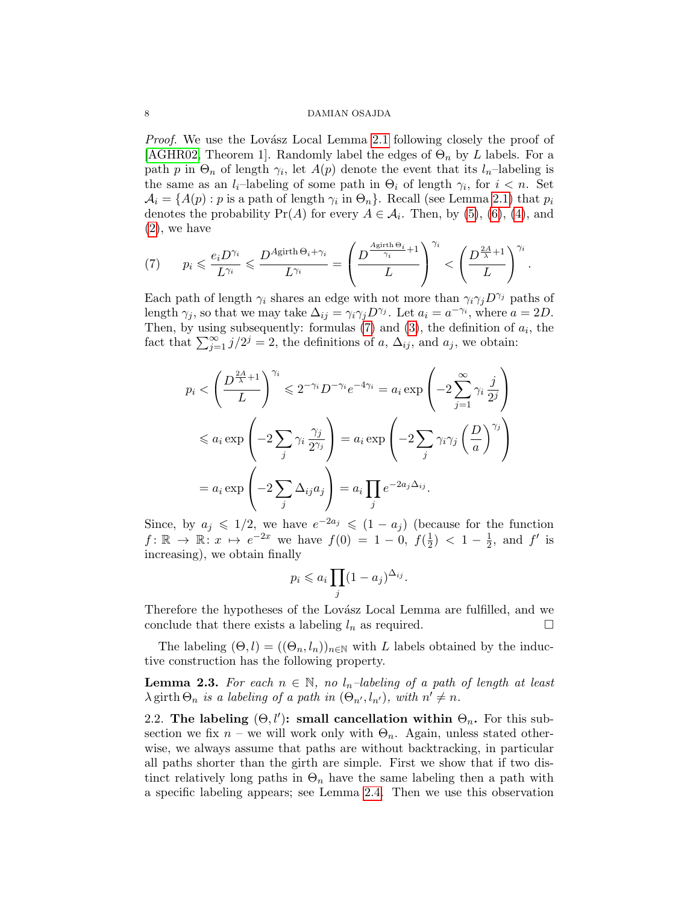*Proof.* We use the Lovász Local Lemma [2.1](#page-6-1) following closely the proof of [\[AGHR02,](#page-28-1) Theorem 1]. Randomly label the edges of  $\Theta_n$  by L labels. For a path p in  $\Theta_n$  of length  $\gamma_i$ , let  $A(p)$  denote the event that its  $l_n$ -labeling is the same as an  $l_i$ -labeling of some path in  $\Theta_i$  of length  $\gamma_i$ , for  $i < n$ . Set  $A_i = \{A(p) : p \text{ is a path of length } \gamma_i \text{ in } \Theta_n\}.$  Recall (see Lemma [2.1\)](#page-6-1) that  $p_i$ denotes the probability  $Pr(A)$  for every  $A \in \mathcal{A}_i$ . Then, by [\(5\)](#page-6-2), [\(6\)](#page-6-3), [\(4\)](#page-6-4), and [\(2\)](#page-6-5), we have

<span id="page-7-2"></span>(7) 
$$
p_i \leq \frac{e_i D^{\gamma_i}}{L^{\gamma_i}} \leq \frac{D^{\text{Agirth }\Theta_i + \gamma_i}}{L^{\gamma_i}} = \left(\frac{D^{\frac{\text{Agirth }\Theta_i}{\gamma_i}+1}}{L}\right)^{\gamma_i} < \left(\frac{D^{\frac{2A}{\lambda}+1}}{L}\right)^{\gamma_i}.
$$

Each path of length  $\gamma_i$  shares an edge with not more than  $\gamma_i \gamma_j D^{\gamma_j}$  paths of length  $\gamma_j$ , so that we may take  $\Delta_{ij} = \gamma_i \gamma_j D^{\gamma_j}$ . Let  $a_i = a^{-\gamma_i}$ , where  $a = 2D$ . Then, by using subsequently: formulas  $(7)$  and  $(3)$ , the definition of  $a_i$ , the fact that  $\sum_{j=1}^{\infty} j/2^j = 2$ , the definitions of a,  $\Delta_{ij}$ , and  $a_j$ , we obtain:

$$
p_i < \left(\frac{D^{\frac{2A}{\lambda}+1}}{L}\right)^{\gamma_i} \leq 2^{-\gamma_i} D^{-\gamma_i} e^{-4\gamma_i} = a_i \exp\left(-2\sum_{j=1}^{\infty} \gamma_i \frac{j}{2^j}\right)
$$
\n
$$
\leq a_i \exp\left(-2\sum_j \gamma_i \frac{\gamma_j}{2^{\gamma_j}}\right) = a_i \exp\left(-2\sum_j \gamma_i \gamma_j \left(\frac{D}{a}\right)^{\gamma_j}\right)
$$
\n
$$
= a_i \exp\left(-2\sum_j \Delta_{ij} a_j\right) = a_i \prod_j e^{-2a_j \Delta_{ij}}.
$$

Since, by  $a_j \leq 1/2$ , we have  $e^{-2a_j} \leq (1-a_j)$  (because for the function  $f: \mathbb{R} \to \mathbb{R} : x \mapsto e^{-2x}$  we have  $f(0) = 1 - 0$ ,  $f(\frac{1}{2})$  $(\frac{1}{2})$  < 1 –  $\frac{1}{2}$  $\frac{1}{2}$ , and  $f'$  is increasing), we obtain finally

$$
p_i \leqslant a_i \prod_j (1 - a_j)^{\Delta_{ij}}.
$$

Therefore the hypotheses of the Lovász Local Lemma are fulfilled, and we conclude that there exists a labeling  $l_n$  as required.

The labeling  $(\Theta, l) = ((\Theta_n, l_n))_{n \in \mathbb{N}}$  with L labels obtained by the inductive construction has the following property.

<span id="page-7-0"></span>**Lemma 2.3.** For each  $n \in \mathbb{N}$ , no  $l_n$ -labeling of a path of length at least  $\lambda$  girth  $\Theta_n$  is a labeling of a path in  $(\Theta_{n'}, l_{n'})$ , with  $n' \neq n$ .

<span id="page-7-1"></span>2.2. The labeling  $(\Theta, l')$ : small cancellation within  $\Theta_n$ . For this subsection we fix  $n$  – we will work only with  $\Theta_n$ . Again, unless stated otherwise, we always assume that paths are without backtracking, in particular all paths shorter than the girth are simple. First we show that if two distinct relatively long paths in  $\Theta_n$  have the same labeling then a path with a specific labeling appears; see Lemma [2.4.](#page-11-0) Then we use this observation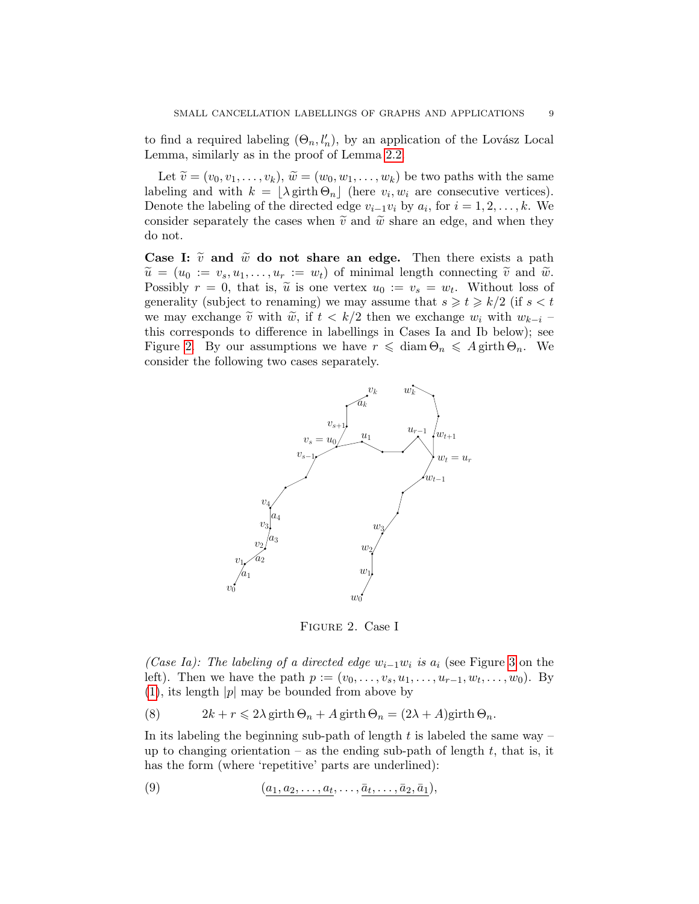to find a required labeling  $(\Theta_n, l'_n)$ , by an application of the Lovász Local Lemma, similarly as in the proof of Lemma [2.2.](#page-6-7)

Let  $\widetilde{v} = (v_0, v_1, \ldots, v_k), \widetilde{w} = (w_0, w_1, \ldots, w_k)$  be two paths with the same labeling and with  $k = \lfloor \lambda \text{girth } \Theta_n \rfloor$  (here  $v_i, w_i$  are consecutive vertices). Denote the labeling of the directed edge  $v_{i-1}v_i$  by  $a_i$ , for  $i = 1, 2, \ldots, k$ . We consider separately the cases when  $\tilde{v}$  and  $\tilde{w}$  share an edge, and when they do not.

Case I:  $\tilde{v}$  and  $\tilde{w}$  do not share an edge. Then there exists a path  $\widetilde{u} = (u_0 := v_s, u_1, \ldots, u_r := w_t)$  of minimal length connecting  $\widetilde{v}$  and  $\widetilde{w}$ . Possibly  $r = 0$ , that is,  $\tilde{u}$  is one vertex  $u_0 := v_s = w_t$ . Without loss of concretive (subject to renoming) we may assume that  $s > t > h/2$  (if  $s < t$ ) generality (subject to renaming) we may assume that  $s \geq t \geq k/2$  (if  $s < t$ ) we may exchange  $\tilde{v}$  with  $\tilde{w}$ , if  $t < k/2$  then we exchange  $w_i$  with  $w_{k-i}$ this corresponds to difference in labellings in Cases Ia and Ib below); see Figure [2.](#page-8-0) By our assumptions we have  $r \leq \text{diam } \Theta_n \leq A \text{ girth } \Theta_n$ . We consider the following two cases separately.



<span id="page-8-0"></span>Figure 2. Case I

(Case Ia): The labeling of a directed edge  $w_{i-1}w_i$  is  $a_i$  (see Figure [3](#page-9-0) on the left). Then we have the path  $p := (v_0, \ldots, v_s, u_1, \ldots, u_{r-1}, w_t, \ldots, w_0)$ . By  $(1)$ , its length  $|p|$  may be bounded from above by

<span id="page-8-1"></span>(8) 
$$
2k + r \leq 2\lambda \operatorname{girth} \Theta_n + A \operatorname{girth} \Theta_n = (2\lambda + A)\operatorname{girth} \Theta_n.
$$

In its labeling the beginning sub-path of length  $t$  is labeled the same way – up to changing orientation – as the ending sub-path of length  $t$ , that is, it has the form (where 'repetitive' parts are underlined):

<span id="page-8-2"></span>
$$
(9) \qquad \qquad (a_1, a_2, \ldots, a_t, \ldots, \bar{a}_t, \ldots, \bar{a}_2, \bar{a}_1),
$$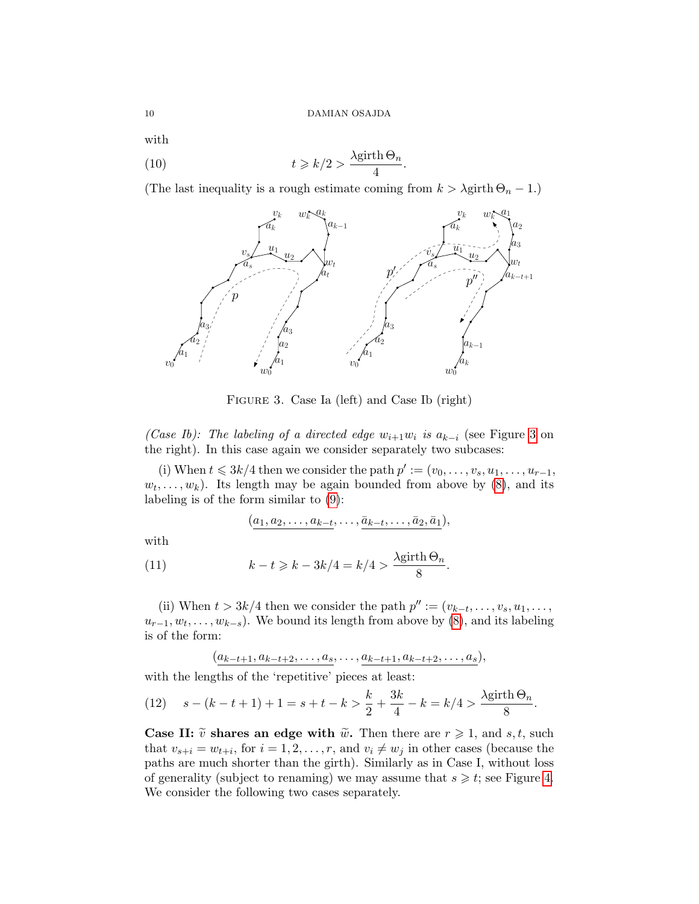with

<span id="page-9-2"></span>(10) 
$$
t \ge k/2 > \frac{\lambda \text{girth } \Theta_n}{4}.
$$

(The last inequality is a rough estimate coming from  $k > \lambda$ girth  $\Theta_n - 1$ .)



<span id="page-9-0"></span>Figure 3. Case Ia (left) and Case Ib (right)

(Case Ib): The labeling of a directed edge  $w_{i+1}w_i$  is  $a_{k-i}$  (see Figure [3](#page-9-0) on the right). In this case again we consider separately two subcases:

(i) When  $t \leqslant 3k/4$  then we consider the path  $p' := (v_0, \ldots, v_s, u_1, \ldots, u_{r-1},$  $(w_t, \ldots, w_k)$ . Its length may be again bounded from above by  $(8)$ , and its labeling is of the form similar to [\(9\)](#page-8-2):

$$
(a_1,a_2,\ldots,a_{k-t},\ldots,\bar{a}_{k-t},\ldots,\bar{a}_2,\bar{a}_1),
$$

with

<span id="page-9-3"></span>(11) 
$$
k - t \ge k - 3k/4 = k/4 > \frac{\lambda \text{girth}\,\Theta_n}{8}.
$$

(ii) When  $t > 3k/4$  then we consider the path  $p'' := (v_{k-t}, \ldots, v_s, u_1, \ldots,$  $u_{r-1}, w_t, \ldots, w_{k-s}$ . We bound its length from above by  $(8)$ , and its labeling is of the form:

$$
(\underline{a_{k-t+1}, a_{k-t+2}, \ldots, a_s}, \ldots, \underline{a_{k-t+1}, a_{k-t+2}, \ldots, a_s}),
$$

with the lengths of the 'repetitive' pieces at least:

<span id="page-9-1"></span>(12) 
$$
s - (k - t + 1) + 1 = s + t - k > \frac{k}{2} + \frac{3k}{4} - k = k/4 > \frac{\lambda \text{girth}\,\Theta_n}{8}.
$$

Case II:  $\tilde{v}$  shares an edge with  $\tilde{w}$ . Then there are  $r \geq 1$ , and s, t, such that  $v_{s+i} = w_{t+i}$ , for  $i = 1, 2, ..., r$ , and  $v_i \neq w_j$  in other cases (because the paths are much shorter than the girth). Similarly as in Case I, without loss of generality (subject to renaming) we may assume that  $s \geq t$ ; see Figure [4.](#page-10-0) We consider the following two cases separately.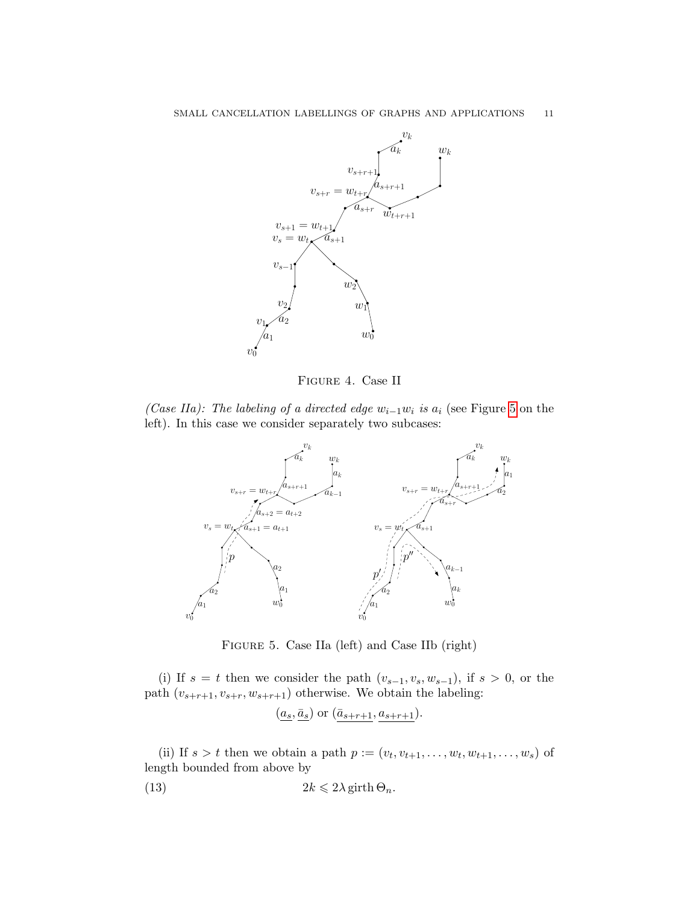

<span id="page-10-0"></span>Figure 4. Case II

(Case IIa): The labeling of a directed edge  $w_{i-1}w_i$  is  $a_i$  (see Figure [5](#page-10-1) on the left). In this case we consider separately two subcases:



<span id="page-10-1"></span>Figure 5. Case IIa (left) and Case IIb (right)

(i) If  $s = t$  then we consider the path  $(v_{s-1}, v_s, w_{s-1})$ , if  $s > 0$ , or the path  $(v_{s+r+1}, v_{s+r}, w_{s+r+1})$  otherwise. We obtain the labeling:

$$
(\underline{a_s}, \underline{\bar{a}_s})
$$
 or  $(\underline{\bar{a}_{s+r+1}}, \underline{a_{s+r+1}})$ .

(ii) If  $s > t$  then we obtain a path  $p := (v_t, v_{t+1}, \ldots, w_t, w_{t+1}, \ldots, w_s)$  of length bounded from above by

<span id="page-10-2"></span>(13) 
$$
2k \leqslant 2\lambda \operatorname{girth} \Theta_n.
$$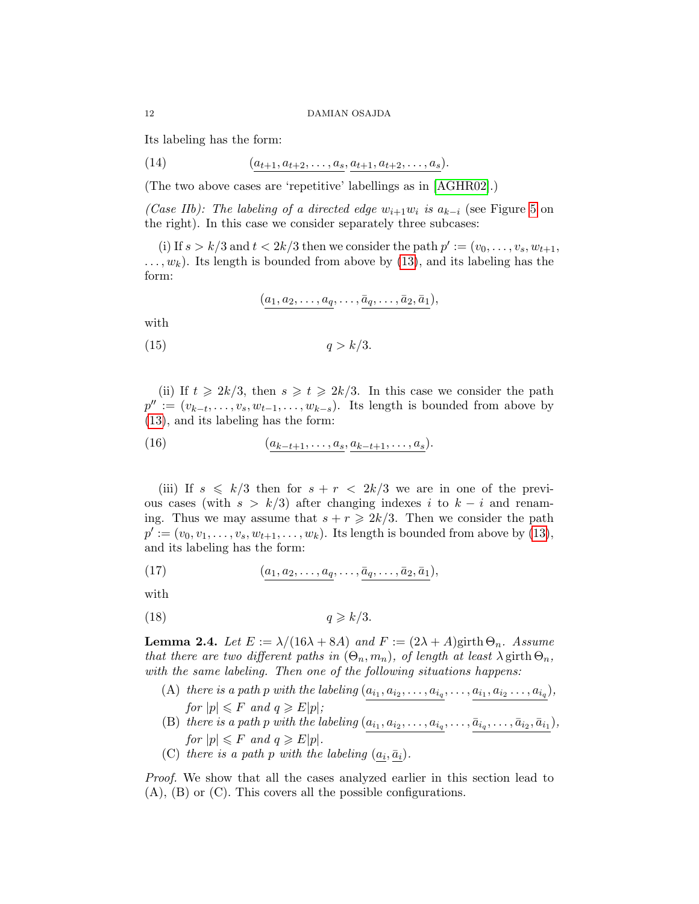Its labeling has the form:

<span id="page-11-1"></span>(14) 
$$
(a_{t+1}, a_{t+2}, \ldots, a_s, a_{t+1}, a_{t+2}, \ldots, a_s).
$$

(The two above cases are 'repetitive' labellings as in [\[AGHR02\]](#page-28-1).)

(Case IIb): The labeling of a directed edge  $w_{i+1}w_i$  is  $a_{k-i}$  (see Figure [5](#page-10-1) on the right). In this case we consider separately three subcases:

(i) If  $s > k/3$  and  $t < 2k/3$  then we consider the path  $p' := (v_0, \ldots, v_s, w_{t+1},$  $\dots, w_k$ ). Its length is bounded from above by [\(13\)](#page-10-2), and its labeling has the form:

$$
(a_1, a_2, \ldots, a_q, \ldots, \overline{a}_q, \ldots, \overline{a}_2, \overline{a}_1),
$$

with

<span id="page-11-3"></span>
$$
(15) \t\t q > k/3.
$$

(ii) If  $t \ge 2k/3$ , then  $s \ge t \ge 2k/3$ . In this case we consider the path  $p'':=(v_{k-t},\ldots,v_s,w_{t-1},\ldots,w_{k-s}).$  Its length is bounded from above by [\(13\)](#page-10-2), and its labeling has the form:

<span id="page-11-2"></span>(16)  $(a_{k-t+1}, \ldots, a_s, a_{k-t+1}, \ldots, a_s).$ 

(iii) If  $s \leq k/3$  then for  $s + r < 2k/3$  we are in one of the previous cases (with  $s > k/3$ ) after changing indexes i to  $k - i$  and renaming. Thus we may assume that  $s + r \geq 2k/3$ . Then we consider the path  $p' := (v_0, v_1, \ldots, v_s, w_{t+1}, \ldots, w_k)$ . Its length is bounded from above by [\(13\)](#page-10-2), and its labeling has the form:

(17) 
$$
(a_1, a_2, \ldots, a_q, \ldots, \bar{a}_q, \ldots, \bar{a}_2, \bar{a}_1),
$$

with

<span id="page-11-4"></span>
$$
(18) \t\t q \ge k/3.
$$

<span id="page-11-0"></span>**Lemma 2.4.** Let  $E := \lambda/(16\lambda + 8A)$  and  $F := (2\lambda + A)$ girth  $\Theta_n$ . Assume that there are two different paths in  $(\Theta_n, m_n)$ , of length at least  $\lambda$  girth  $\Theta_n$ , with the same labeling. Then one of the following situations happens:

- (A) there is a path p with the labeling  $(a_{i_1}, a_{i_2}, \ldots, a_{i_q}, \ldots, a_{i_1}, a_{i_2} \ldots, a_{i_q}),$ for  $|p| \leq F$  and  $q \geq E|p|$ ;
- (B) there is a path p with the labeling  $(a_{i_1}, a_{i_2}, \ldots, a_{i_q}, \ldots, \bar{a}_{i_q}, \ldots, \bar{a}_{i_2}, \bar{a}_{i_1}),$ for  $|p| \leq F$  and  $q \geq E|p|$ .
- (C) there is a path p with the labeling  $(a_i, \bar{a}_i)$ .

Proof. We show that all the cases analyzed earlier in this section lead to (A), (B) or (C). This covers all the possible configurations.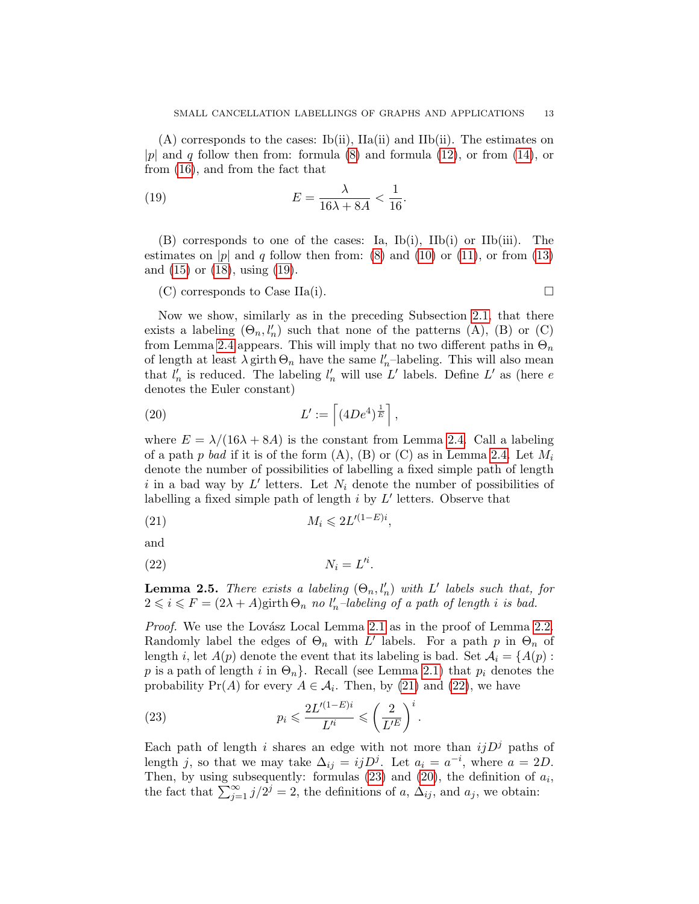(A) corresponds to the cases: Ib(ii), IIa(ii) and IIb(ii). The estimates on |p| and q follow then from: formula [\(8\)](#page-8-1) and formula [\(12\)](#page-9-1), or from [\(14\)](#page-11-1), or from [\(16\)](#page-11-2), and from the fact that

<span id="page-12-0"></span>(19) 
$$
E = \frac{\lambda}{16\lambda + 8A} < \frac{1}{16}.
$$

(B) corresponds to one of the cases: Ia, Ib(i), IIb(i) or IIb(iii). The estimates on |p| and q follow then from: [\(8\)](#page-8-1) and [\(10\)](#page-9-2) or [\(11\)](#page-9-3), or from [\(13\)](#page-10-2) and [\(15\)](#page-11-3) or [\(18\)](#page-11-4), using [\(19\)](#page-12-0).

 $(C)$  corresponds to Case IIa(i).

Now we show, similarly as in the preceding Subsection [2.1,](#page-6-0) that there exists a labeling  $(\Theta_n, l'_n)$  such that none of the patterns (A), (B) or (C) from Lemma [2.4](#page-11-0) appears. This will imply that no two different paths in  $\Theta_n$ of length at least  $\lambda$  girth  $\Theta_n$  have the same  $l'_n$ –labeling. This will also mean that  $l'_n$  is reduced. The labeling  $l'_n$  will use  $L'$  labels. Define  $L'$  as (here  $e$ denotes the Euler constant)

<span id="page-12-4"></span>(20) 
$$
L' := \left[ (4De^4)^{\frac{1}{E}} \right],
$$

where  $E = \lambda/(16\lambda + 8A)$  is the constant from Lemma [2.4.](#page-11-0) Call a labeling of a path p bad if it is of the form  $(A)$ ,  $(B)$  or  $(C)$  as in Lemma [2.4.](#page-11-0) Let  $M_i$ denote the number of possibilities of labelling a fixed simple path of length i in a bad way by  $L'$  letters. Let  $N_i$  denote the number of possibilities of labelling a fixed simple path of length  $i$  by  $L'$  letters. Observe that

<span id="page-12-1"></span>
$$
(21) \t\t M_i \leqslant 2L'^{(1-E)i},
$$

and

<span id="page-12-2"></span>
$$
(22) \t\t N_i = L'^i.
$$

<span id="page-12-5"></span>**Lemma 2.5.** There exists a labeling  $(\Theta_n, l'_n)$  with L' labels such that, for  $2 \leq i \leq F = (2\lambda + A)$ girth  $\Theta_n$  no  $l'_n$ -labeling of a path of length i is bad.

*Proof.* We use the Lovász Local Lemma [2.1](#page-6-1) as in the proof of Lemma [2.2.](#page-6-7) Randomly label the edges of  $\Theta_n$  with L' labels. For a path p in  $\Theta_n$  of length i, let  $A(p)$  denote the event that its labeling is bad. Set  $A_i = \{A(p) :$ p is a path of length i in  $\Theta_n$ . Recall (see Lemma [2.1\)](#page-6-1) that  $p_i$  denotes the probability  $Pr(A)$  for every  $A \in \mathcal{A}_i$ . Then, by [\(21\)](#page-12-1) and [\(22\)](#page-12-2), we have

<span id="page-12-3"></span>(23) 
$$
p_i \leqslant \frac{2L'^{(1-E)i}}{L'^i} \leqslant \left(\frac{2}{L'^E}\right)^i.
$$

Each path of length i shares an edge with not more than  $ijD<sup>j</sup>$  paths of length j, so that we may take  $\Delta_{ij} = i j D^j$ . Let  $a_i = a^{-i}$ , where  $a = 2D$ . Then, by using subsequently: formulas  $(23)$  and  $(20)$ , the definition of  $a_i$ , the fact that  $\sum_{j=1}^{\infty} j/2^j = 2$ , the definitions of a,  $\Delta_{ij}$ , and a<sub>j</sub>, we obtain: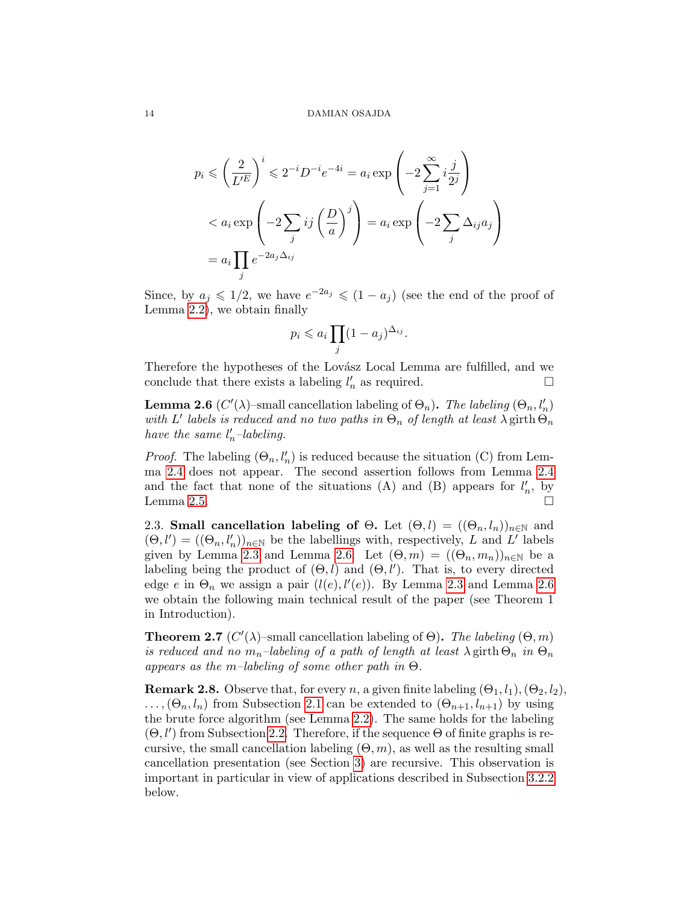$$
p_i \leqslant \left(\frac{2}{L'^E}\right)^i \leqslant 2^{-i}D^{-i}e^{-4i} = a_i \exp\left(-2\sum_{j=1}^{\infty} i\frac{j}{2^j}\right)
$$
  

$$
< a_i \exp\left(-2\sum_j ij\left(\frac{D}{a}\right)^j\right) = a_i \exp\left(-2\sum_j \Delta_{ij} a_j\right)
$$
  

$$
= a_i \prod_j e^{-2a_j\Delta_{ij}}
$$

Since, by  $a_j \leq 1/2$ , we have  $e^{-2a_j} \leq (1-a_j)$  (see the end of the proof of Lemma [2.2\)](#page-6-7), we obtain finally

$$
p_i \leqslant a_i \prod_j (1 - a_j)^{\Delta_{ij}}.
$$

Therefore the hypotheses of the Lovász Local Lemma are fulfilled, and we conclude that there exists a labeling  $l'_n$  as required.

<span id="page-13-2"></span>**Lemma 2.6** ( $C'(\lambda)$ -small cancellation labeling of  $\Theta_n$ ). The labeling  $(\Theta_n, l'_n)$ with L' labels is reduced and no two paths in  $\Theta_n$  of length at least  $\lambda$  girth  $\Theta_n$ have the same  $l'_n$ -labeling.

*Proof.* The labeling  $(\Theta_n, l'_n)$  is reduced because the situation (C) from Lemma [2.4](#page-11-0) does not appear. The second assertion follows from Lemma [2.4](#page-11-0) and the fact that none of the situations (A) and (B) appears for  $l'_n$ , by Lemma [2.5.](#page-12-5)  $\Box$ 

<span id="page-13-0"></span>2.3. Small cancellation labeling of  $\Theta$ . Let  $(\Theta, l) = ((\Theta_n, l_n))_{n \in \mathbb{N}}$  and  $(\Theta, l') = ((\Theta_n, l'_n))_{n \in \mathbb{N}}$  be the labellings with, respectively, L and L' labels given by Lemma [2.3](#page-7-0) and Lemma [2.6.](#page-13-2) Let  $(\Theta, m) = ((\Theta_n, m_n))_{n \in \mathbb{N}}$  be a labeling being the product of  $(\Theta, l)$  and  $(\Theta, l')$ . That is, to every directed edge e in  $\Theta_n$  we assign a pair  $(l(e), l'(e))$ . By Lemma [2.3](#page-7-0) and Lemma [2.6](#page-13-2) we obtain the following main technical result of the paper (see Theorem 1 in Introduction).

<span id="page-13-1"></span>**Theorem 2.7** ( $C'(\lambda)$ -small cancellation labeling of  $\Theta$ ). The labeling  $(\Theta, m)$ is reduced and no  $m_n$ -labeling of a path of length at least  $\lambda$  girth  $\Theta_n$  in  $\Theta_n$ appears as the m–labeling of some other path in  $\Theta$ .

<span id="page-13-3"></span>**Remark 2.8.** Observe that, for every n, a given finite labeling  $(\Theta_1, l_1), (\Theta_2, l_2)$ ,  $\ldots, (\Theta_n, l_n)$  from Subsection [2.1](#page-6-0) can be extended to  $(\Theta_{n+1}, l_{n+1})$  by using the brute force algorithm (see Lemma [2.2\)](#page-6-7). The same holds for the labeling  $(\Theta, l')$  from Subsection [2.2.](#page-7-1) Therefore, if the sequence  $\Theta$  of finite graphs is recursive, the small cancellation labeling  $(\Theta, m)$ , as well as the resulting small cancellation presentation (see Section [3\)](#page-15-0) are recursive. This observation is important in particular in view of applications described in Subsection [3.2.2](#page-17-3) below.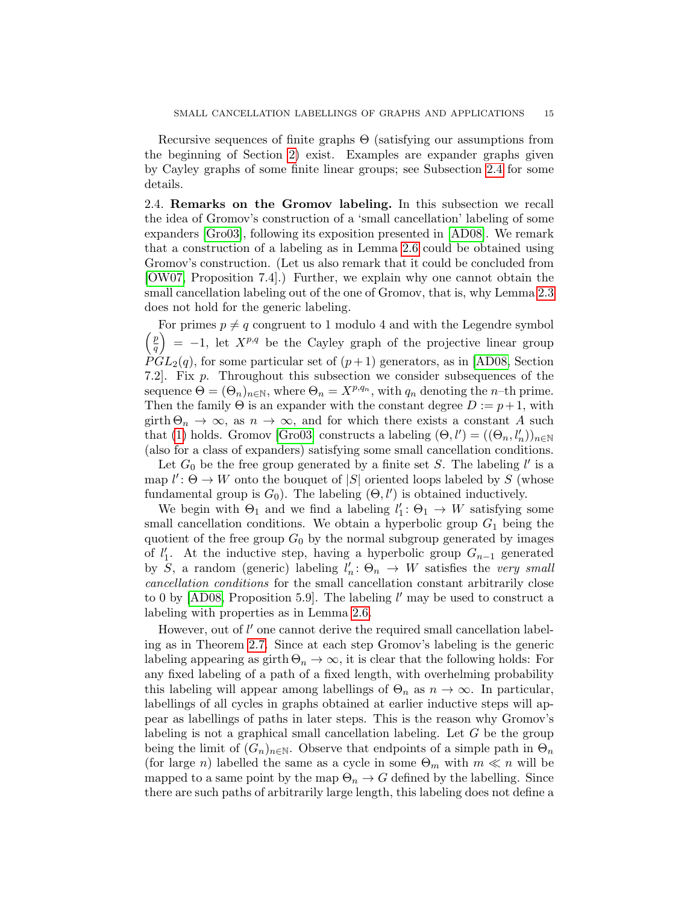Recursive sequences of finite graphs Θ (satisfying our assumptions from the beginning of Section [2\)](#page-4-0) exist. Examples are expander graphs given by Cayley graphs of some finite linear groups; see Subsection [2.4](#page-14-0) for some details.

<span id="page-14-0"></span>2.4. Remarks on the Gromov labeling. In this subsection we recall the idea of Gromov's construction of a 'small cancellation' labeling of some expanders [\[Gro03\]](#page-29-0), following its exposition presented in [\[AD08\]](#page-28-0). We remark that a construction of a labeling as in Lemma [2.6](#page-13-2) could be obtained using Gromov's construction. (Let us also remark that it could be concluded from [\[OW07,](#page-29-19) Proposition 7.4].) Further, we explain why one cannot obtain the small cancellation labeling out of the one of Gromov, that is, why Lemma [2.3](#page-7-0) does not hold for the generic labeling.

For primes  $p \neq q$  congruent to 1 modulo 4 and with the Legendre symbol  $p$  $\binom{p}{q}$  = -1, let  $X^{p,q}$  be the Cayley graph of the projective linear group  $PGL<sub>2</sub>(q)$ , for some particular set of  $(p+1)$  generators, as in [\[AD08,](#page-28-0) Section] 7.2. Fix p. Throughout this subsection we consider subsequences of the sequence  $\Theta = (\Theta_n)_{n \in \mathbb{N}}$ , where  $\Theta_n = X^{p,q_n}$ , with  $q_n$  denoting the *n*-th prime. Then the family  $\Theta$  is an expander with the constant degree  $D := p+1$ , with girth  $\Theta_n \to \infty$ , as  $n \to \infty$ , and for which there exists a constant A such that [\(1\)](#page-4-1) holds. Gromov [\[Gro03\]](#page-29-0) constructs a labeling  $(\Theta, l') = ((\Theta_n, l'_n))_{n \in \mathbb{N}}$ (also for a class of expanders) satisfying some small cancellation conditions.

Let  $G_0$  be the free group generated by a finite set S. The labeling  $l'$  is a map  $l' : \Theta \to W$  onto the bouquet of  $|S|$  oriented loops labeled by S (whose fundamental group is  $G_0$ ). The labeling  $(\Theta, l')$  is obtained inductively.

We begin with  $\Theta_1$  and we find a labeling  $l'_1: \Theta_1 \to W$  satisfying some small cancellation conditions. We obtain a hyperbolic group  $G_1$  being the quotient of the free group  $G_0$  by the normal subgroup generated by images of  $l'_1$ . At the inductive step, having a hyperbolic group  $G_{n-1}$  generated by  $S$ , a random (generic) labeling  $l'_n: \Theta_n \to W$  satisfies the very small cancellation conditions for the small cancellation constant arbitrarily close to 0 by  $[AD08, Proposition 5.9]$ . The labeling  $l'$  may be used to construct a labeling with properties as in Lemma [2.6.](#page-13-2)

However, out of  $l'$  one cannot derive the required small cancellation labeling as in Theorem [2.7.](#page-13-1) Since at each step Gromov's labeling is the generic labeling appearing as girth  $\Theta_n \to \infty$ , it is clear that the following holds: For any fixed labeling of a path of a fixed length, with overhelming probability this labeling will appear among labellings of  $\Theta_n$  as  $n \to \infty$ . In particular, labellings of all cycles in graphs obtained at earlier inductive steps will appear as labellings of paths in later steps. This is the reason why Gromov's labeling is not a graphical small cancellation labeling. Let  $G$  be the group being the limit of  $(G_n)_{n\in\mathbb{N}}$ . Observe that endpoints of a simple path in  $\Theta_n$ (for large n) labelled the same as a cycle in some  $\Theta_m$  with  $m \ll n$  will be mapped to a same point by the map  $\Theta_n \to G$  defined by the labelling. Since there are such paths of arbitrarily large length, this labeling does not define a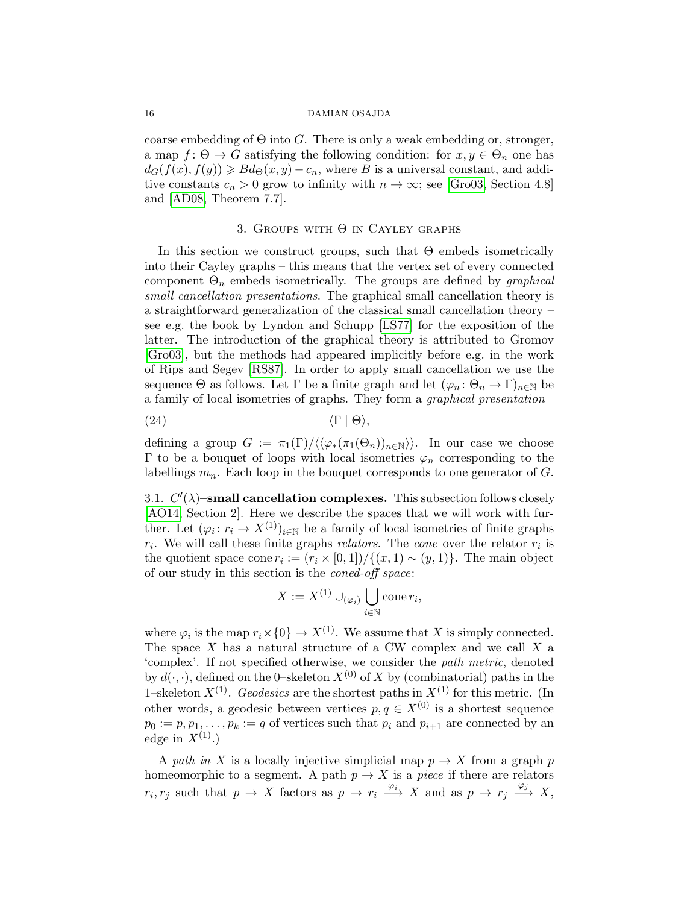coarse embedding of  $\Theta$  into  $G$ . There is only a weak embedding or, stronger, a map  $f: \Theta \to G$  satisfying the following condition: for  $x, y \in \Theta_n$  one has  $d_G(f(x), f(y)) \geq B d_{\Theta}(x, y) - c_n$ , where B is a universal constant, and additive constants  $c_n > 0$  grow to infinity with  $n \to \infty$ ; see [\[Gro03,](#page-29-0) Section 4.8] and [\[AD08,](#page-28-0) Theorem 7.7].

## 3. GROUPS WITH  $\Theta$  in Cayley graphs

<span id="page-15-0"></span>In this section we construct groups, such that  $\Theta$  embeds isometrically into their Cayley graphs – this means that the vertex set of every connected component  $\Theta_n$  embeds isometrically. The groups are defined by *graphical* small cancellation presentations. The graphical small cancellation theory is a straightforward generalization of the classical small cancellation theory – see e.g. the book by Lyndon and Schupp [\[LS77\]](#page-29-20) for the exposition of the latter. The introduction of the graphical theory is attributed to Gromov [\[Gro03\]](#page-29-0), but the methods had appeared implicitly before e.g. in the work of Rips and Segev [\[RS87\]](#page-29-21). In order to apply small cancellation we use the sequence  $\Theta$  as follows. Let  $\Gamma$  be a finite graph and let  $(\varphi_n : \Theta_n \to \Gamma)_{n \in \mathbb{N}}$  be a family of local isometries of graphs. They form a graphical presentation

<span id="page-15-1"></span>
$$
\langle \Gamma | \Theta \rangle,
$$

defining a group  $G := \pi_1(\Gamma)/\langle\langle\varphi_*(\pi_1(\Theta_n))_{n\in\mathbb{N}}\rangle\rangle$ . In our case we choose Γ to be a bouquet of loops with local isometries  $\varphi_n$  corresponding to the labellings  $m_n$ . Each loop in the bouquet corresponds to one generator of  $G$ .

<span id="page-15-2"></span>3.1.  $C'(\lambda)$ -small cancellation complexes. This subsection follows closely [\[AO14,](#page-28-4) Section 2]. Here we describe the spaces that we will work with further. Let  $(\varphi_i : r_i \to X^{(1)})_{i \in \mathbb{N}}$  be a family of local isometries of finite graphs  $r_i$ . We will call these finite graphs *relators*. The *cone* over the relator  $r_i$  is the quotient space cone  $r_i := (r_i \times [0,1]) / \{(x,1) \sim (y,1)\}\.$  The main object of our study in this section is the coned-off space:

$$
X := X^{(1)} \cup_{(\varphi_i)} \bigcup_{i \in \mathbb{N}} \text{cone } r_i,
$$

where  $\varphi_i$  is the map  $r_i \times \{0\} \to X^{(1)}$ . We assume that X is simply connected. The space  $X$  has a natural structure of a CW complex and we call  $X$  a 'complex'. If not specified otherwise, we consider the path metric, denoted by  $d(\cdot, \cdot)$ , defined on the 0–skeleton  $X^{(0)}$  of X by (combinatorial) paths in the 1–skeleton  $X^{(1)}$ . Geodesics are the shortest paths in  $X^{(1)}$  for this metric. (In other words, a geodesic between vertices  $p, q \in X^{(0)}$  is a shortest sequence  $p_0 := p, p_1, \ldots, p_k := q$  of vertices such that  $p_i$  and  $p_{i+1}$  are connected by an edge in  $X^{(1)}$ .)

A path in X is a locally injective simplicial map  $p \to X$  from a graph p homeomorphic to a segment. A path  $p \to X$  is a *piece* if there are relators  $r_i, r_j$  such that  $p \to X$  factors as  $p \to r_i \xrightarrow{\varphi_i} X$  and as  $p \to r_j \xrightarrow{\varphi_j} X$ ,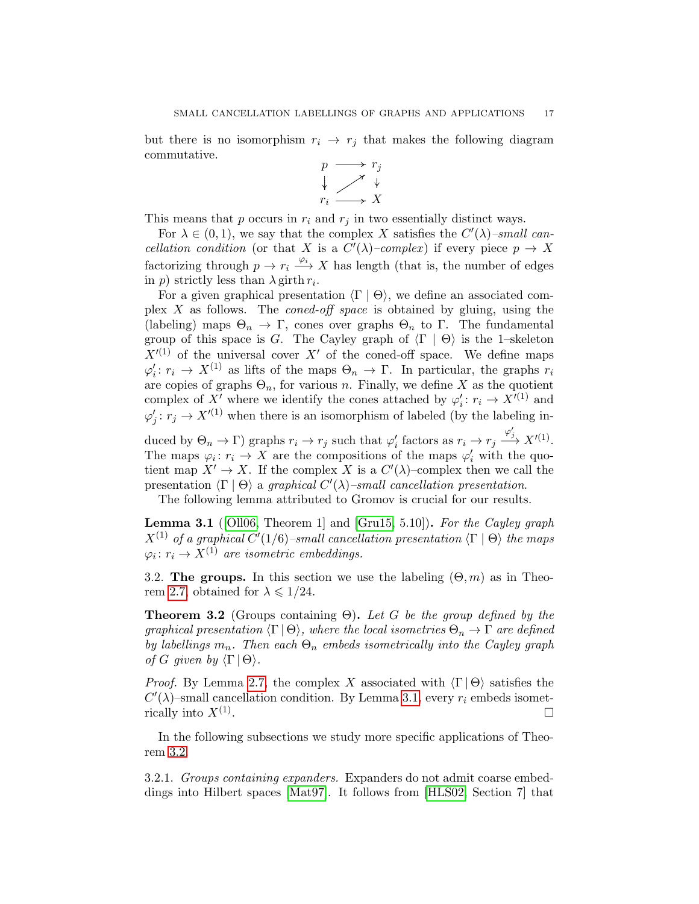but there is no isomorphism  $r_i \rightarrow r_j$  that makes the following diagram commutative.



This means that  $p$  occurs in  $r_i$  and  $r_j$  in two essentially distinct ways.

For  $\lambda \in (0,1)$ , we say that the complex X satisfies the  $C'(\lambda)$ -small cancellation condition (or that X is a  $C'(\lambda)$ -complex) if every piece  $p \to X$ factorizing through  $p \to r_i \xrightarrow{\varphi_i} X$  has length (that is, the number of edges in p) strictly less than  $\lambda$  girth  $r_i$ .

For a given graphical presentation  $\langle \Gamma | \Theta \rangle$ , we define an associated complex  $X$  as follows. The *coned-off space* is obtained by gluing, using the (labeling) maps  $\Theta_n \to \Gamma$ , cones over graphs  $\Theta_n$  to  $\Gamma$ . The fundamental group of this space is G. The Cayley graph of  $\langle \Gamma | \Theta \rangle$  is the 1–skeleton  $X^{\prime(1)}$  of the universal cover X' of the coned-off space. We define maps  $\varphi'_i: r_i \to X^{(1)}$  as lifts of the maps  $\Theta_n \to \Gamma$ . In particular, the graphs  $r_i$ are copies of graphs  $\Theta_n$ , for various n. Finally, we define X as the quotient complex of X' where we identify the cones attached by  $\varphi_i': r_i \to X'^{(1)}$  and  $\varphi'_j: r_j \to X'^{(1)}$  when there is an isomorphism of labeled (by the labeling in-

duced by  $\Theta_n \to \Gamma$ ) graphs  $r_i \to r_j$  such that  $\varphi'_i$  factors as  $r_i \to r_j \xrightarrow{\varphi'_j} X'^{(1)}$ . The maps  $\varphi_i : r_i \to X$  are the compositions of the maps  $\varphi'_i$  with the quotient map  $X' \to X$ . If the complex X is a  $C'(\lambda)$ -complex then we call the presentation  $\langle \Gamma | \Theta \rangle$  a graphical  $C'(\lambda)$ –small cancellation presentation.

The following lemma attributed to Gromov is crucial for our results.

<span id="page-16-0"></span>**Lemma 3.1** ([\[Oll06,](#page-29-3) Theorem 1] and [\[Gru15,](#page-29-22) 5.10]). For the Cayley graph  $X^{(1)}$  of a graphical  $C'(1/6)$ -small cancellation presentation  $\langle \Gamma | \Theta \rangle$  the maps  $\varphi_i \colon r_i \to X^{(1)}$  are isometric embeddings.

3.2. The groups. In this section we use the labeling  $(\Theta, m)$  as in Theo-rem [2.7,](#page-13-1) obtained for  $\lambda \leq 1/24$ .

<span id="page-16-1"></span>**Theorem 3.2** (Groups containing  $\Theta$ ). Let G be the group defined by the graphical presentation  $\langle \Gamma | \Theta \rangle$ , where the local isometries  $\Theta_n \to \Gamma$  are defined by labellings  $m_n$ . Then each  $\Theta_n$  embeds isometrically into the Cayley graph of G given by  $\langle \Gamma | \Theta \rangle$ .

*Proof.* By Lemma [2.7,](#page-13-1) the complex X associated with  $\langle \Gamma | \Theta \rangle$  satisfies the  $C'(\lambda)$ -small cancellation condition. By Lemma [3.1,](#page-16-0) every  $r_i$  embeds isometrically into  $X^{(1)}$ . . В последните последните под се при последните последните под се при последните под се при последните под се<br>В последните под се при последните под се при последните под се при последните под се при последните под се пр

In the following subsections we study more specific applications of Theorem [3.2.](#page-16-1)

3.2.1. Groups containing expanders. Expanders do not admit coarse embeddings into Hilbert spaces [\[Mat97\]](#page-29-23). It follows from [\[HLS02,](#page-29-17) Section 7] that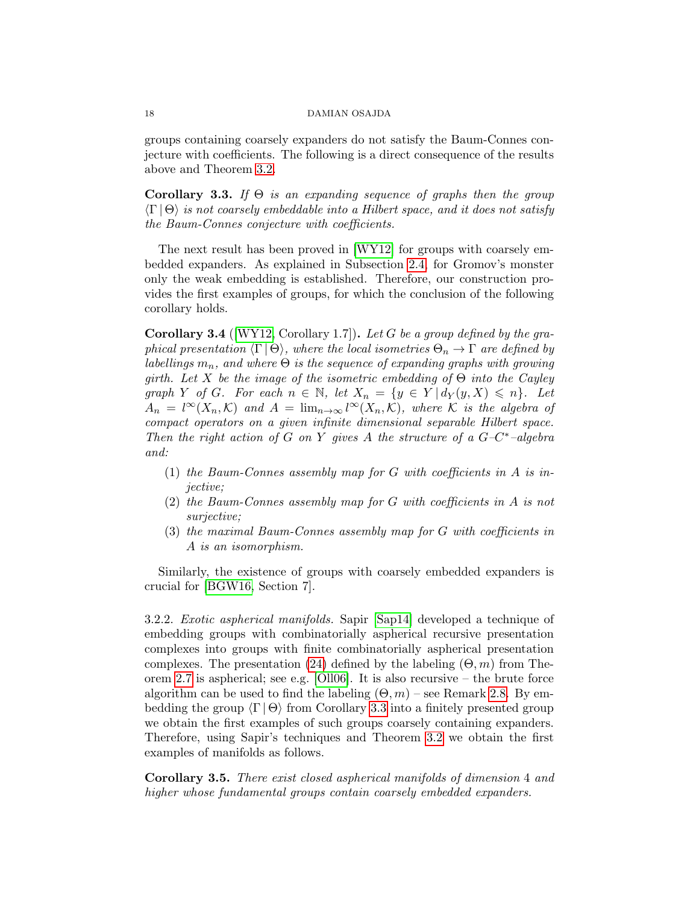groups containing coarsely expanders do not satisfy the Baum-Connes conjecture with coefficients. The following is a direct consequence of the results above and Theorem [3.2.](#page-16-1)

<span id="page-17-0"></span>Corollary 3.3. If  $\Theta$  is an expanding sequence of graphs then the group  $\langle \Gamma | \Theta \rangle$  is not coarsely embeddable into a Hilbert space, and it does not satisfy the Baum-Connes conjecture with coefficients.

The next result has been proved in [\[WY12\]](#page-30-3) for groups with coarsely embedded expanders. As explained in Subsection [2.4,](#page-14-0) for Gromov's monster only the weak embedding is established. Therefore, our construction provides the first examples of groups, for which the conclusion of the following corollary holds.

<span id="page-17-1"></span>**Corollary 3.4** ( $[WY12, Corollary 1.7]$  $[WY12, Corollary 1.7]$ ). Let G be a group defined by the graphical presentation  $\langle \Gamma | \Theta \rangle$ , where the local isometries  $\Theta_n \to \Gamma$  are defined by labellings  $m_n$ , and where  $\Theta$  is the sequence of expanding graphs with growing girth. Let X be the image of the isometric embedding of  $\Theta$  into the Cayley graph Y of G. For each  $n \in \mathbb{N}$ , let  $X_n = \{y \in Y | d_Y(y, X) \leq n\}$ . Let  $A_n = l^{\infty}(X_n, \mathcal{K})$  and  $A = \lim_{n \to \infty} l^{\infty}(X_n, \mathcal{K})$ , where K is the algebra of compact operators on a given infinite dimensional separable Hilbert space. Then the right action of G on Y gives A the structure of a  $G-C^*$ -algebra and:

- (1) the Baum-Connes assembly map for  $G$  with coefficients in  $A$  is injective;
- (2) the Baum-Connes assembly map for G with coefficients in A is not surjective;
- (3) the maximal Baum-Connes assembly map for G with coefficients in A is an isomorphism.

Similarly, the existence of groups with coarsely embedded expanders is crucial for [\[BGW16,](#page-28-10) Section 7].

<span id="page-17-3"></span>3.2.2. Exotic aspherical manifolds. Sapir [\[Sap14\]](#page-29-18) developed a technique of embedding groups with combinatorially aspherical recursive presentation complexes into groups with finite combinatorially aspherical presentation complexes. The presentation [\(24\)](#page-15-1) defined by the labeling  $(\Theta, m)$  from Theorem [2.7](#page-13-1) is aspherical; see e.g. [\[Oll06\]](#page-29-3). It is also recursive – the brute force algorithm can be used to find the labeling  $(\Theta, m)$  – see Remark [2.8.](#page-13-3) By embedding the group  $\langle \Gamma | \Theta \rangle$  from Corollary [3.3](#page-17-0) into a finitely presented group we obtain the first examples of such groups coarsely containing expanders. Therefore, using Sapir's techniques and Theorem [3.2](#page-16-1) we obtain the first examples of manifolds as follows.

<span id="page-17-2"></span>Corollary 3.5. There exist closed aspherical manifolds of dimension 4 and higher whose fundamental groups contain coarsely embedded expanders.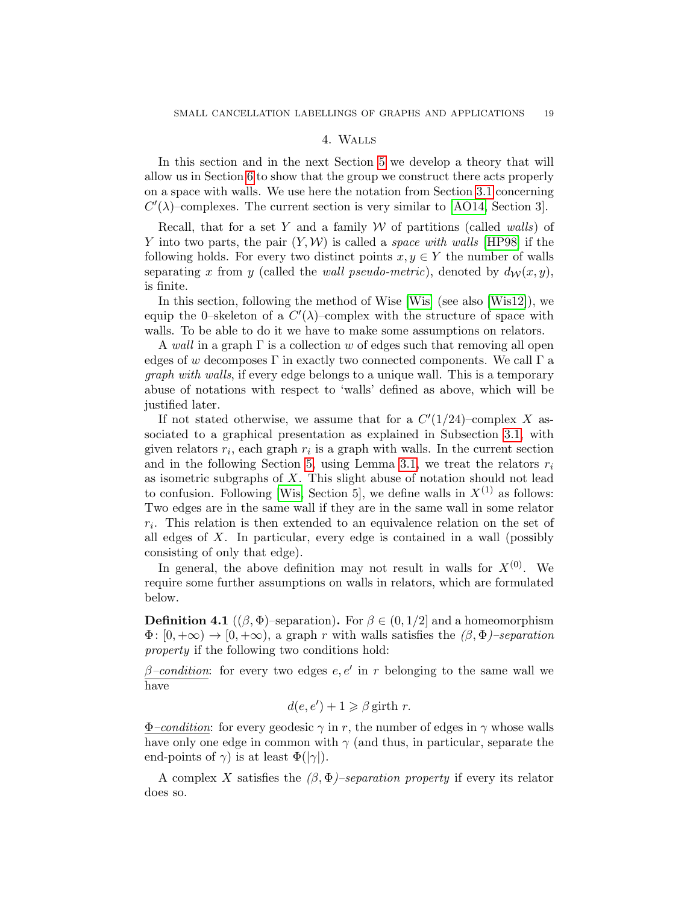# 4. Walls

<span id="page-18-0"></span>In this section and in the next Section [5](#page-19-0) we develop a theory that will allow us in Section [6](#page-24-1) to show that the group we construct there acts properly on a space with walls. We use here the notation from Section [3.1](#page-15-2) concerning  $C'(\lambda)$ -complexes. The current section is very similar to [\[AO14,](#page-28-4) Section 3].

Recall, that for a set Y and a family  $W$  of partitions (called walls) of Y into two parts, the pair  $(Y, W)$  is called a *space with walls* [\[HP98\]](#page-29-12) if the following holds. For every two distinct points  $x, y \in Y$  the number of walls separating x from y (called the wall pseudo-metric), denoted by  $d_W(x, y)$ , is finite.

In this section, following the method of Wise [\[Wis\]](#page-30-4) (see also [\[Wis12\]](#page-30-5)), we equip the 0-skeleton of a  $C'(\lambda)$ -complex with the structure of space with walls. To be able to do it we have to make some assumptions on relators.

A wall in a graph  $\Gamma$  is a collection w of edges such that removing all open edges of w decomposes  $\Gamma$  in exactly two connected components. We call  $\Gamma$  a graph with walls, if every edge belongs to a unique wall. This is a temporary abuse of notations with respect to 'walls' defined as above, which will be justified later.

If not stated otherwise, we assume that for a  $C'(1/24)$ -complex X associated to a graphical presentation as explained in Subsection [3.1,](#page-15-2) with given relators  $r_i$ , each graph  $r_i$  is a graph with walls. In the current section and in the following Section [5,](#page-19-0) using Lemma [3.1,](#page-16-0) we treat the relators  $r_i$ as isometric subgraphs of  $X$ . This slight abuse of notation should not lead to confusion. Following [\[Wis,](#page-30-4) Section 5], we define walls in  $X^{(1)}$  as follows: Two edges are in the same wall if they are in the same wall in some relator  $r_i$ . This relation is then extended to an equivalence relation on the set of all edges of X. In particular, every edge is contained in a wall (possibly consisting of only that edge).

In general, the above definition may not result in walls for  $X^{(0)}$ . We require some further assumptions on walls in relators, which are formulated below.

<span id="page-18-1"></span>**Definition 4.1** (( $\beta$ ,  $\Phi$ )–separation). For  $\beta \in (0, 1/2]$  and a homeomorphism  $\Phi: [0, +\infty) \to [0, +\infty)$ , a graph r with walls satisfies the  $(\beta, \Phi)$ –separation property if the following two conditions hold:

 $\beta$ -condition: for every two edges e, e' in r belonging to the same wall we have

$$
d(e, e') + 1 \geq \beta \text{ girth } r.
$$

 $\Phi$ -condition: for every geodesic  $\gamma$  in r, the number of edges in  $\gamma$  whose walls have only one edge in common with  $\gamma$  (and thus, in particular, separate the end-points of  $\gamma$ ) is at least  $\Phi(|\gamma|)$ .

A complex X satisfies the  $(\beta, \Phi)$ –separation property if every its relator does so.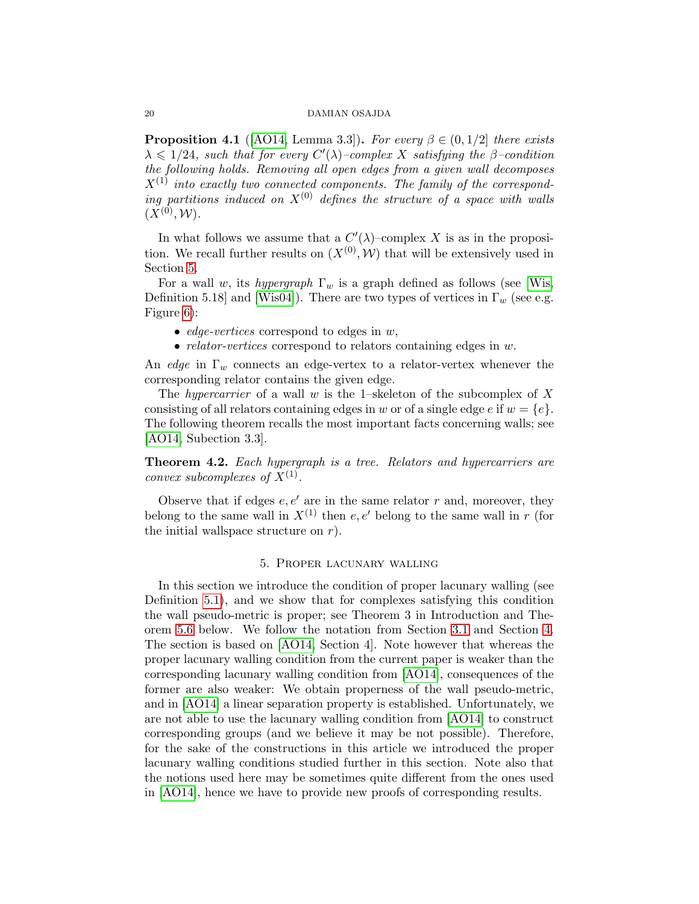<span id="page-19-1"></span>**Proposition 4.1** ([\[AO14,](#page-28-4) Lemma 3.3]). For every  $\beta \in (0, 1/2]$  there exists  $\lambda \leq 1/24$ , such that for every  $C'(\lambda)$ -complex X satisfying the  $\beta$ -condition the following holds. Removing all open edges from a given wall decomposes  $X^{(1)}$  into exactly two connected components. The family of the corresponding partitions induced on  $X^{(0)}$  defines the structure of a space with walls  $(X^{(0)}, W)$ .

In what follows we assume that a  $C'(\lambda)$ -complex X is as in the proposition. We recall further results on  $(X^{(0)}, W)$  that will be extensively used in Section [5.](#page-19-0)

For a wall w, its hypergraph  $\Gamma_w$  is a graph defined as follows (see [\[Wis,](#page-30-4) Definition 5.18] and [\[Wis04\]](#page-30-6)). There are two types of vertices in  $\Gamma_w$  (see e.g. Figure [6\)](#page-20-0):

- edge-vertices correspond to edges in  $w$ ,
- *relator-vertices* correspond to relators containing edges in w.

An edge in  $\Gamma_w$  connects an edge-vertex to a relator-vertex whenever the corresponding relator contains the given edge.

The hypercarrier of a wall w is the 1–skeleton of the subcomplex of X consisting of all relators containing edges in w or of a single edge e if  $w = \{e\}.$ The following theorem recalls the most important facts concerning walls; see [\[AO14,](#page-28-4) Subection 3.3].

<span id="page-19-2"></span>**Theorem 4.2.** Each hypergraph is a tree. Relators and hypercarriers are convex subcomplexes of  $X^{(1)}$ .

Observe that if edges  $e, e'$  are in the same relator r and, moreover, they belong to the same wall in  $X^{(1)}$  then e, e' belong to the same wall in r (for the initial wallspace structure on  $r$ ).

# 5. Proper lacunary walling

<span id="page-19-0"></span>In this section we introduce the condition of proper lacunary walling (see Definition [5.1\)](#page-20-1), and we show that for complexes satisfying this condition the wall pseudo-metric is proper; see Theorem 3 in Introduction and Theorem [5.6](#page-24-0) below. We follow the notation from Section [3.1](#page-15-2) and Section [4.](#page-18-0) The section is based on [\[AO14,](#page-28-4) Section 4]. Note however that whereas the proper lacunary walling condition from the current paper is weaker than the corresponding lacunary walling condition from [\[AO14\]](#page-28-4), consequences of the former are also weaker: We obtain properness of the wall pseudo-metric, and in [\[AO14\]](#page-28-4) a linear separation property is established. Unfortunately, we are not able to use the lacunary walling condition from [\[AO14\]](#page-28-4) to construct corresponding groups (and we believe it may be not possible). Therefore, for the sake of the constructions in this article we introduced the proper lacunary walling conditions studied further in this section. Note also that the notions used here may be sometimes quite different from the ones used in [\[AO14\]](#page-28-4), hence we have to provide new proofs of corresponding results.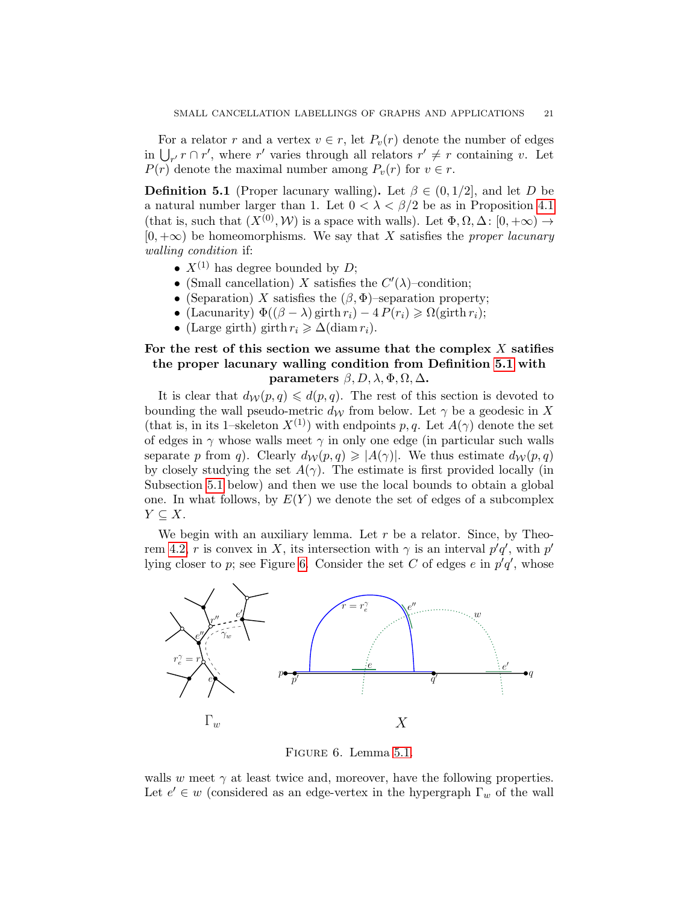For a relator r and a vertex  $v \in r$ , let  $P_v(r)$  denote the number of edges in  $\bigcup_{r'} r \cap r'$ , where r' varies through all relators  $r' \neq r$  containing v. Let  $P(r)$  denote the maximal number among  $P_v(r)$  for  $v \in r$ .

<span id="page-20-1"></span>**Definition 5.1** (Proper lacunary walling). Let  $\beta \in (0, 1/2]$ , and let D be a natural number larger than 1. Let  $0 < \lambda < \beta/2$  be as in Proposition [4.1](#page-19-1) (that is, such that  $(X^{(0)}, W)$  is a space with walls). Let  $\Phi, \Omega, \Delta \colon [0, +\infty) \to$  $[0, +\infty)$  be homeomorphisms. We say that X satisfies the proper lacunary walling condition if:

- $X^{(1)}$  has degree bounded by D;
- (Small cancellation) X satisfies the  $C'(\lambda)$ -condition;
- (Separation) X satisfies the  $(\beta, \Phi)$ -separation property;
- (Lacunarity)  $\Phi((\beta \lambda) \text{ girth } r_i) 4 P(r_i) \ge \Omega(\text{ girth } r_i);$
- (Large girth) girth  $r_i \geq \Delta(\text{diam } r_i)$ .

# For the rest of this section we assume that the complex  $X$  satifies the proper lacunary walling condition from Definition [5.1](#page-20-1) with parameters  $\beta$ ,  $D$ ,  $\lambda$ ,  $\Phi$ ,  $\Omega$ ,  $\Delta$ .

It is clear that  $d_{\mathcal{W}}(p,q) \leq d(p,q)$ . The rest of this section is devoted to bounding the wall pseudo-metric  $d_W$  from below. Let  $\gamma$  be a geodesic in X (that is, in its 1–skeleton  $X^{(1)}$ ) with endpoints p, q. Let  $A(\gamma)$  denote the set of edges in  $\gamma$  whose walls meet  $\gamma$  in only one edge (in particular such walls separate p from q). Clearly  $d_{\mathcal{W}}(p,q) \geq |A(\gamma)|$ . We thus estimate  $d_{\mathcal{W}}(p,q)$ by closely studying the set  $A(\gamma)$ . The estimate is first provided locally (in Subsection [5.1](#page-21-0) below) and then we use the local bounds to obtain a global one. In what follows, by  $E(Y)$  we denote the set of edges of a subcomplex  $Y \subseteq X$ .

We begin with an auxiliary lemma. Let  $r$  be a relator. Since, by Theo-rem [4.2,](#page-19-2) r is convex in X, its intersection with  $\gamma$  is an interval  $p'q'$ , with  $p'$ lying closer to p; see Figure [6.](#page-20-0) Consider the set C of edges  $e$  in  $p'q'$ , whose



<span id="page-20-0"></span>Figure 6. Lemma [5.1.](#page-21-1)

walls w meet  $\gamma$  at least twice and, moreover, have the following properties. Let  $e' \in w$  (considered as an edge-vertex in the hypergraph  $\Gamma_w$  of the wall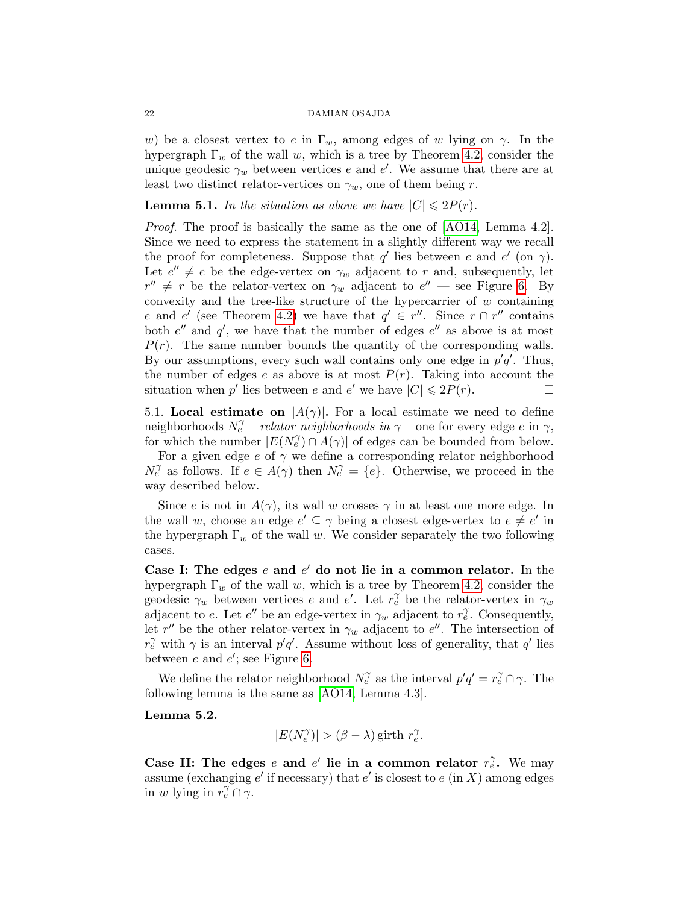w) be a closest vertex to e in  $\Gamma_w$ , among edges of w lying on  $\gamma$ . In the hypergraph  $\Gamma_w$  of the wall w, which is a tree by Theorem [4.2,](#page-19-2) consider the unique geodesic  $\gamma_w$  between vertices e and e'. We assume that there are at least two distinct relator-vertices on  $\gamma_w$ , one of them being r.

<span id="page-21-1"></span>**Lemma 5.1.** In the situation as above we have  $|C| \leq 2P(r)$ .

Proof. The proof is basically the same as the one of [\[AO14,](#page-28-4) Lemma 4.2]. Since we need to express the statement in a slightly different way we recall the proof for completeness. Suppose that q' lies between e and e' (on  $\gamma$ ). Let  $e'' \neq e$  be the edge-vertex on  $\gamma_w$  adjacent to r and, subsequently, let  $r'' \neq r$  be the relator-vertex on  $\gamma_w$  adjacent to  $e''$  — see Figure [6.](#page-20-0) By convexity and the tree-like structure of the hypercarrier of  $w$  containing e and e' (see Theorem [4.2\)](#page-19-2) we have that  $q' \in r''$ . Since  $r \cap r''$  contains both  $e''$  and  $q'$ , we have that the number of edges  $e''$  as above is at most  $P(r)$ . The same number bounds the quantity of the corresponding walls. By our assumptions, every such wall contains only one edge in  $p'q'$ . Thus, the number of edges e as above is at most  $P(r)$ . Taking into account the situation when  $p'$  lies between  $e$  and  $e'$  we have  $|C| \leq 2P(r)$ .

<span id="page-21-0"></span>5.1. Local estimate on  $|A(\gamma)|$ . For a local estimate we need to define neighborhoods  $N_e^{\gamma}$  – *relator neighborhoods in*  $\gamma$  – one for every edge e in  $\gamma$ , for which the number  $|E(N_e^{\gamma}) \cap A(\gamma)|$  of edges can be bounded from below.

For a given edge  $e$  of  $\gamma$  we define a corresponding relator neighborhood  $N_e^{\gamma}$  as follows. If  $e \in A(\gamma)$  then  $N_e^{\gamma} = \{e\}$ . Otherwise, we proceed in the way described below.

Since e is not in  $A(\gamma)$ , its wall w crosses  $\gamma$  in at least one more edge. In the wall w, choose an edge  $e' \subseteq \gamma$  being a closest edge-vertex to  $e \neq e'$  in the hypergraph  $\Gamma_w$  of the wall w. We consider separately the two following cases.

Case I: The edges  $e$  and  $e'$  do not lie in a common relator. In the hypergraph  $\Gamma_w$  of the wall w, which is a tree by Theorem [4.2,](#page-19-2) consider the geodesic  $\gamma_w$  between vertices e and e'. Let  $r_e^{\gamma}$  be the relator-vertex in  $\gamma_w$ adjacent to e. Let e'' be an edge-vertex in  $\gamma_w$  adjacent to  $r_e^{\gamma}$ . Consequently, let r'' be the other relator-vertex in  $\gamma_w$  adjacent to e''. The intersection of  $r_e^{\gamma}$  with  $\gamma$  is an interval  $p'q'$ . Assume without loss of generality, that q' lies between  $e$  and  $e'$ ; see Figure [6.](#page-20-0)

We define the relator neighborhood  $N_e^{\gamma}$  as the interval  $p'q' = r_e^{\gamma} \cap \gamma$ . The following lemma is the same as [\[AO14,](#page-28-4) Lemma 4.3].

# <span id="page-21-2"></span>Lemma 5.2.

$$
|E(N_e^{\gamma})| > (\beta - \lambda) \text{ girth } r_e^{\gamma}.
$$

Case II: The edges e and e' lie in a common relator  $r_e^{\gamma}$ . We may assume (exchanging  $e'$  if necessary) that  $e'$  is closest to  $e$  (in X) among edges in w lying in  $r_e^{\gamma} \cap \gamma$ .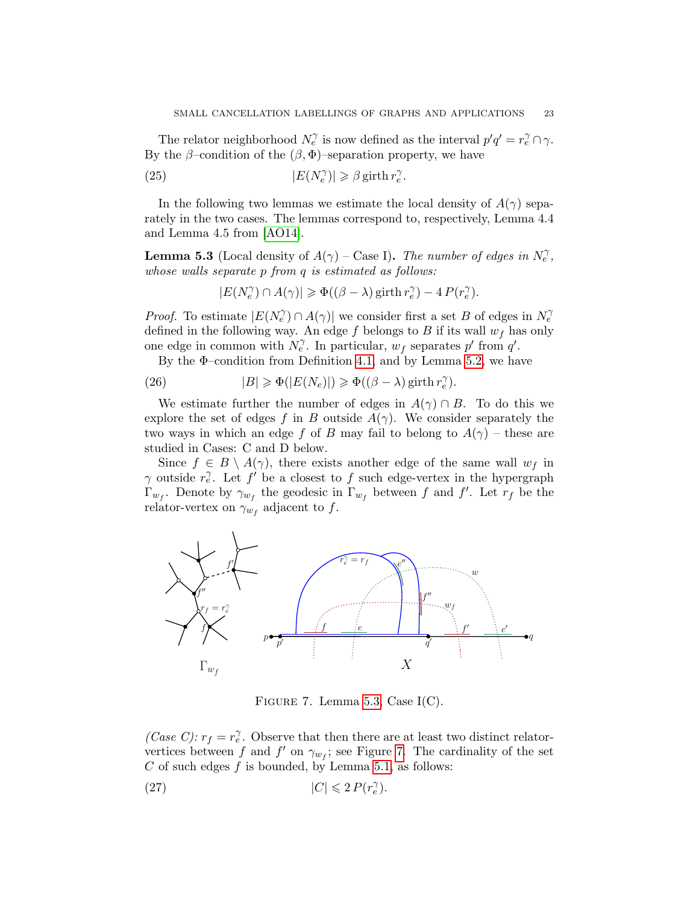The relator neighborhood  $N_{e}^{\gamma}$  is now defined as the interval  $p'q' = r_{e}^{\gamma} \cap \gamma$ . By the  $\beta$ –condition of the  $(\beta, \Phi)$ –separation property, we have

<span id="page-22-4"></span>(25) 
$$
|E(N_e^{\gamma})| \geq \beta \operatorname{girth} r_e^{\gamma}.
$$

In the following two lemmas we estimate the local density of  $A(\gamma)$  separately in the two cases. The lemmas correspond to, respectively, Lemma 4.4 and Lemma 4.5 from [\[AO14\]](#page-28-4).

<span id="page-22-0"></span>**Lemma 5.3** (Local density of  $A(\gamma)$  – Case I). The number of edges in  $N_e^{\gamma}$ , whose walls separate p from q is estimated as follows:

$$
|E(N_e^{\gamma}) \cap A(\gamma)| \geq \Phi((\beta - \lambda) \operatorname{girth} r_e^{\gamma}) - 4 P(r_e^{\gamma}).
$$

*Proof.* To estimate  $|E(N_e^{\gamma}) \cap A(\gamma)|$  we consider first a set B of edges in  $N_e^{\gamma}$ defined in the following way. An edge f belongs to B if its wall  $w_f$  has only one edge in common with  $N_e^{\gamma}$ . In particular,  $w_f$  separates p' from q'.

By the  $\Phi$ -condition from Definition [4.1,](#page-18-1) and by Lemma [5.2,](#page-21-2) we have

<span id="page-22-2"></span>(26) 
$$
|B| \geq \Phi(|E(N_e)|) \geq \Phi((\beta - \lambda) \operatorname{girth} r_e^{\gamma}).
$$

We estimate further the number of edges in  $A(\gamma) \cap B$ . To do this we explore the set of edges f in B outside  $A(\gamma)$ . We consider separately the two ways in which an edge f of B may fail to belong to  $A(\gamma)$  – these are studied in Cases: C and D below.

Since  $f \in B \setminus A(\gamma)$ , there exists another edge of the same wall  $w_f$  in  $\gamma$  outside  $r_e^{\gamma}$ . Let f' be a closest to f such edge-vertex in the hypergraph  $\Gamma_{w_f}$ . Denote by  $\gamma_{w_f}$  the geodesic in  $\Gamma_{w_f}$  between f and f'. Let  $r_f$  be the relator-vertex on  $\gamma_{w_f}$  adjacent to f.



<span id="page-22-1"></span>FIGURE 7. Lemma [5.3,](#page-22-0) Case  $I(C)$ .

(Case C):  $r_f = r_e^{\gamma}$ . Observe that then there are at least two distinct relatorvertices between f and f' on  $\gamma_{w_f}$ ; see Figure [7.](#page-22-1) The cardinality of the set C of such edges  $f$  is bounded, by Lemma [5.1,](#page-21-1) as follows:

<span id="page-22-3"></span>(27) 
$$
|C| \leq 2 P(r_e^{\gamma}).
$$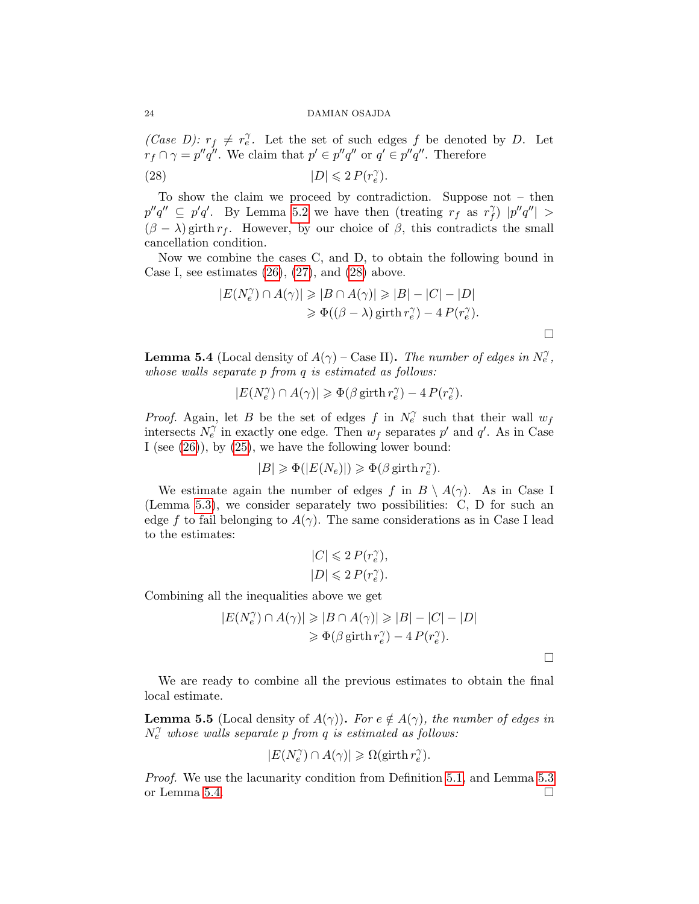(Case D):  $r_f \neq r_e^{\gamma}$ . Let the set of such edges f be denoted by D. Let  $r_f \cap \gamma = p''q''$ . We claim that  $p' \in p''q''$  or  $q' \in p''q''$ . Therefore

<span id="page-23-0"></span>(28) 
$$
|D| \leqslant 2 P(r_e^{\gamma}).
$$

To show the claim we proceed by contradiction. Suppose not – then  $p''q'' \subseteq p'q'.$  By Lemma [5.2](#page-21-2) we have then (treating  $r_f^{\gamma}$  as  $r_f^{\gamma}$  $\int_{f}^{\gamma}$   $|p''q''| >$  $(\beta - \lambda)$  girth  $r_f$ . However, by our choice of  $\beta$ , this contradicts the small cancellation condition.

Now we combine the cases C, and D, to obtain the following bound in Case I, see estimates  $(26)$ ,  $(27)$ , and  $(28)$  above.

$$
|E(N_e^{\gamma}) \cap A(\gamma)| \geq |B \cap A(\gamma)| \geq |B| - |C| - |D|
$$
  
\n
$$
\geq \Phi((\beta - \lambda) \text{ girth } r_e^{\gamma}) - 4 P(r_e^{\gamma}).
$$

<span id="page-23-1"></span>**Lemma 5.4** (Local density of  $A(\gamma)$  – Case II). The number of edges in  $N_e^{\gamma}$ , whose walls separate p from q is estimated as follows:

 $|E(N_e^\gamma) \cap A(\gamma)| \geqslant \Phi(\beta \text{ girth } r_e^\gamma) - 4\, P(r_e^\gamma).$ 

*Proof.* Again, let B be the set of edges f in  $N_e^{\gamma}$  such that their wall  $w_f$ intersects  $N_e^{\gamma}$  in exactly one edge. Then  $w_f$  separates p' and q'. As in Case I (see  $(26)$ ), by  $(25)$ , we have the following lower bound:

$$
|B|\geqslant \Phi(|E(N_e)|)\geqslant \Phi(\beta\,\text{girth}\, r_e^\gamma).
$$

We estimate again the number of edges f in  $B \setminus A(\gamma)$ . As in Case I (Lemma [5.3\)](#page-22-0), we consider separately two possibilities: C, D for such an edge f to fail belonging to  $A(\gamma)$ . The same considerations as in Case I lead to the estimates:

$$
\begin{split} |C|&\leqslant 2\,P(r_e^\gamma),\\ |D|\leqslant 2\,P(r_e^\gamma). \end{split}
$$

Combining all the inequalities above we get

$$
|E(N_e^{\gamma}) \cap A(\gamma)| \geq |B \cap A(\gamma)| \geq |B| - |C| - |D|
$$
  

$$
\geq \Phi(\beta \text{ girth } r_e^{\gamma}) - 4 P(r_e^{\gamma}).
$$

 $\Box$ 

 $\Box$ 

We are ready to combine all the previous estimates to obtain the final local estimate.

<span id="page-23-2"></span>**Lemma 5.5** (Local density of  $A(\gamma)$ ). For  $e \notin A(\gamma)$ , the number of edges in  $N_e^{\gamma}$  whose walls separate p from q is estimated as follows:

$$
|E(N_e^{\gamma}) \cap A(\gamma)| \geqslant \Omega(\text{girth } r_e^{\gamma}).
$$

Proof. We use the lacunarity condition from Definition [5.1,](#page-20-1) and Lemma [5.3](#page-22-0) or Lemma [5.4.](#page-23-1)  $\Box$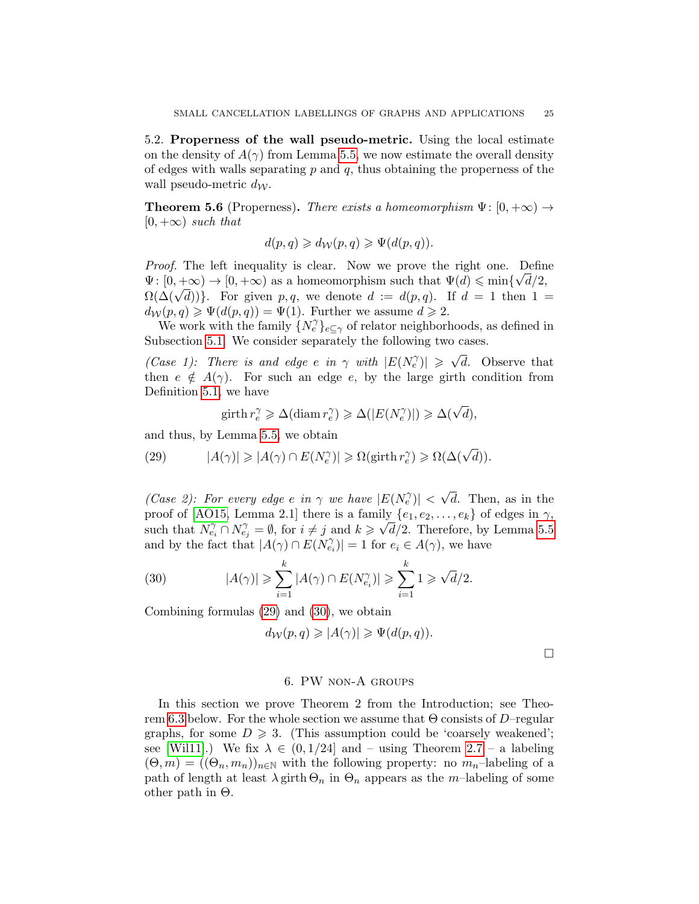5.2. Properness of the wall pseudo-metric. Using the local estimate on the density of  $A(\gamma)$  from Lemma [5.5,](#page-23-2) we now estimate the overall density of edges with walls separating  $p$  and  $q$ , thus obtaining the properness of the wall pseudo-metric  $d_{\mathcal{W}}$ .

<span id="page-24-0"></span>**Theorem 5.6** (Properness). There exists a homeomorphism  $\Psi: [0, +\infty) \rightarrow$  $[0, +\infty)$  such that

$$
d(p,q) \geq d_{\mathcal{W}}(p,q) \geqslant \Psi(d(p,q)).
$$

Proof. The left inequality is clear. Now we prove the right one. Define  $\Psi: [0, +\infty) \to [0, +\infty)$  as a homeomorphism such that  $\Psi(d) \leq \min{\{\sqrt{d}/2\}}$  $\Omega(\Delta(\sqrt{d}))$ . For given p, q, we denote  $d := d(p, q)$ . If  $d = 1$  then  $1 =$  $d_{\mathcal{W}}(p,q) \geqslant \Psi(d(p,q)) = \Psi(1)$ . Further we assume  $d \geqslant 2$ .

We work with the family  $\{N_e^{\gamma}\}_{e \subseteq \gamma}$  of relator neighborhoods, as defined in Subsection [5.1.](#page-21-0) We consider separately the following two cases.

(Case 1): There is and edge e in  $\gamma$  with  $|E(N_e^{\gamma})| \geq \sqrt{d}$ . Observe that then  $e \notin A(\gamma)$ . For such an edge e, by the large girth condition from Definition [5.1,](#page-20-1) we have

$$
\text{girth } r_e^{\gamma} \geqslant \Delta(\text{diam } r_e^{\gamma}) \geqslant \Delta(|E(N_e^{\gamma})|) \geqslant \Delta(\sqrt{d}),
$$

and thus, by Lemma [5.5,](#page-23-2) we obtain

<span id="page-24-2"></span>(29) 
$$
|A(\gamma)| \geqslant |A(\gamma) \cap E(N_e^{\gamma})| \geqslant \Omega(\text{girth } r_e^{\gamma}) \geqslant \Omega(\Delta(\sqrt{d})).
$$

(Case 2): For every edge e in  $\gamma$  we have  $|E(N_e^{\gamma})| < \sqrt{d}$ . Then, as in the proof of [\[AO15,](#page-28-9) Lemma 2.1] there is a family  $\{e_1, e_2, \ldots, e_k\}$  of edges in  $\gamma$ , such that  $N_{e_i}^{\gamma} \cap N_{e_j}^{\gamma} = \emptyset$ , for  $i \neq j$  and  $k \geq \sqrt{d}/2$ . Therefore, by Lemma [5.5](#page-23-2) and by the fact that  $|A(\gamma) \cap E(N_{e_i}^{\gamma})| = 1$  for  $e_i \in A(\gamma)$ , we have

<span id="page-24-3"></span>(30) 
$$
|A(\gamma)| \geqslant \sum_{i=1}^{k} |A(\gamma) \cap E(N_{e_i}^{\gamma})| \geqslant \sum_{i=1}^{k} 1 \geqslant \sqrt{d}/2.
$$

Combining formulas [\(29\)](#page-24-2) and [\(30\)](#page-24-3), we obtain

$$
d_{\mathcal{W}}(p,q) \geqslant |A(\gamma)| \geqslant \Psi(d(p,q)).
$$

 $\Box$ 

# 6. PW non-A groups

<span id="page-24-1"></span>In this section we prove Theorem 2 from the Introduction; see Theo-rem [6.3](#page-28-5) below. For the whole section we assume that  $\Theta$  consists of D–regular graphs, for some  $D \geq 3$ . (This assumption could be 'coarsely weakened'; see [\[Wil11\]](#page-30-2).) We fix  $\lambda \in (0, 1/24]$  and – using Theorem [2.7](#page-13-1) – a labeling  $(\Theta, m) = ((\Theta_n, m_n))_{n \in \mathbb{N}}$  with the following property: no  $m_n$ -labeling of a path of length at least  $\lambda$  girth  $\Theta_n$  in  $\Theta_n$  appears as the m-labeling of some other path in Θ.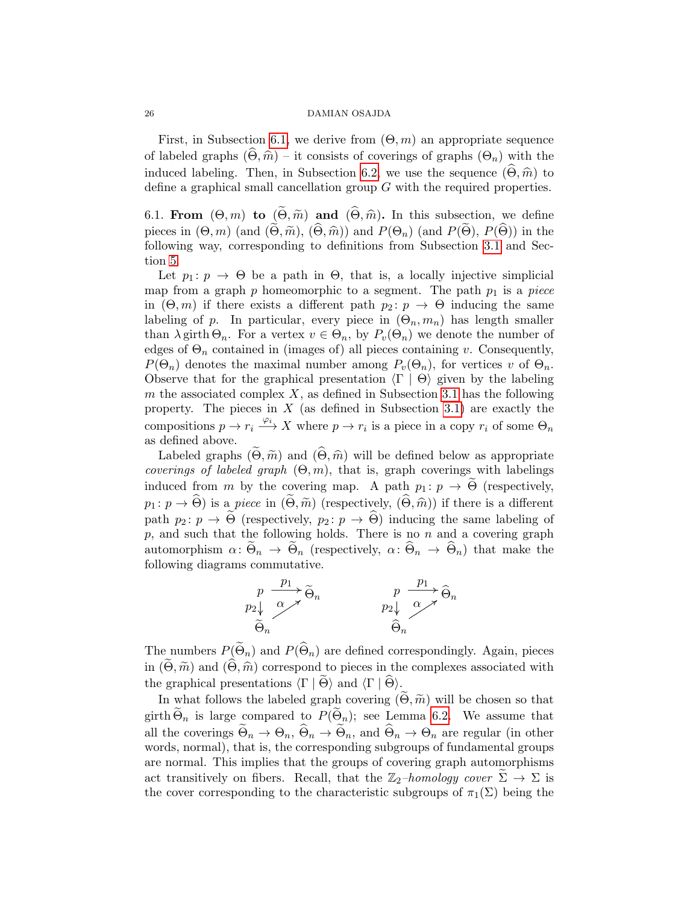First, in Subsection [6.1,](#page-25-0) we derive from  $(\Theta, m)$  an appropriate sequence of labeled graphs  $(\widehat{\Theta}, \widehat{m})$  – it consists of coverings of graphs  $(\Theta_n)$  with the induced labeling. Then, in Subsection [6.2,](#page-27-0) we use the sequence  $(\widehat{\Theta}, \widehat{m})$  to define a graphical small cancellation group G with the required properties.

<span id="page-25-0"></span>6.1. From  $(\Theta, m)$  to  $(\Theta, \widetilde{m})$  and  $(\widetilde{\Theta}, \widehat{m})$ . In this subsection, we define pieces in  $(\Theta, m)$  (and  $(\Theta, \widetilde{m}), (\widetilde{\Theta}, \widehat{m})$ ) and  $P(\Theta_n)$  (and  $P(\Theta), P(\widetilde{\Theta})$ ) in the following way, corresponding to definitions from Subsection [3.1](#page-15-2) and Section [5.](#page-19-0)

Let  $p_1: p \to \Theta$  be a path in  $\Theta$ , that is, a locally injective simplicial map from a graph  $p$  homeomorphic to a segment. The path  $p_1$  is a piece in  $(\Theta, m)$  if there exists a different path  $p_2 : p \to \Theta$  inducing the same labeling of p. In particular, every piece in  $(\Theta_n, m_n)$  has length smaller than  $\lambda$  girth  $\Theta_n$ . For a vertex  $v \in \Theta_n$ , by  $P_v(\Theta_n)$  we denote the number of edges of  $\Theta_n$  contained in (images of) all pieces containing v. Consequently,  $P(\Theta_n)$  denotes the maximal number among  $P_v(\Theta_n)$ , for vertices v of  $\Theta_n$ . Observe that for the graphical presentation  $\langle \Gamma | \Theta \rangle$  given by the labeling m the associated complex  $X$ , as defined in Subsection [3.1](#page-15-2) has the following property. The pieces in  $X$  (as defined in Subsection [3.1\)](#page-15-2) are exactly the compositions  $p \to r_i \xrightarrow{\varphi_i} X$  where  $p \to r_i$  is a piece in a copy  $r_i$  of some  $\Theta_n$ as defined above.

Labeled graphs  $(\Theta, \widetilde{m})$  and  $(\widetilde{\Theta}, \widehat{m})$  will be defined below as appropriate coverings of labeled graph  $(\Theta, m)$ , that is, graph coverings with labelings induced from m by the covering map. A path  $p_1: p \to \Theta$  (respectively,  $p_1: p \to \widehat{\Theta}$  is a piece in  $(\widetilde{\Theta}, \widetilde{m})$  (respectively,  $(\widehat{\Theta}, \widehat{m})$ ) if there is a different path  $p_2 : p \to \widetilde{\Theta}$  (respectively,  $p_2 : p \to \widehat{\Theta}$ ) inducing the same labeling of  $p$ , and such that the following holds. There is no  $n$  and a covering graph automorphism  $\alpha: \Theta_n \to \Theta_n$  (respectively,  $\alpha: \Theta_n \to \Theta_n$ ) that make the following diagrams commutative.



The numbers  $P(\widetilde{\Theta}_n)$  and  $P(\widehat{\Theta}_n)$  are defined correspondingly. Again, pieces in  $(\Theta, \tilde{m})$  and  $(\tilde{\Theta}, \hat{m})$  correspond to pieces in the complexes associated with the graphical presentations  $\langle \Gamma | \Theta \rangle$  and  $\langle \Gamma | \Theta \rangle$ .

In what follows the labeled graph covering  $(\Theta, \widetilde{m})$  will be chosen so that girth  $\Theta_n$  is large compared to  $P(\Theta_n)$ ; see Lemma [6.2.](#page-26-0) We assume that all the coverings  $\widetilde{\Theta}_n \to \Theta_n$ ,  $\widehat{\Theta}_n \to \widetilde{\Theta}_n$ , and  $\widehat{\Theta}_n \to \Theta_n$  are regular (in other words, normal), that is, the corresponding subgroups of fundamental groups are normal. This implies that the groups of covering graph automorphisms act transitively on fibers. Recall, that the  $\mathbb{Z}_2$ -homology cover  $\Sigma \to \Sigma$  is the cover corresponding to the characteristic subgroups of  $\pi_1(\Sigma)$  being the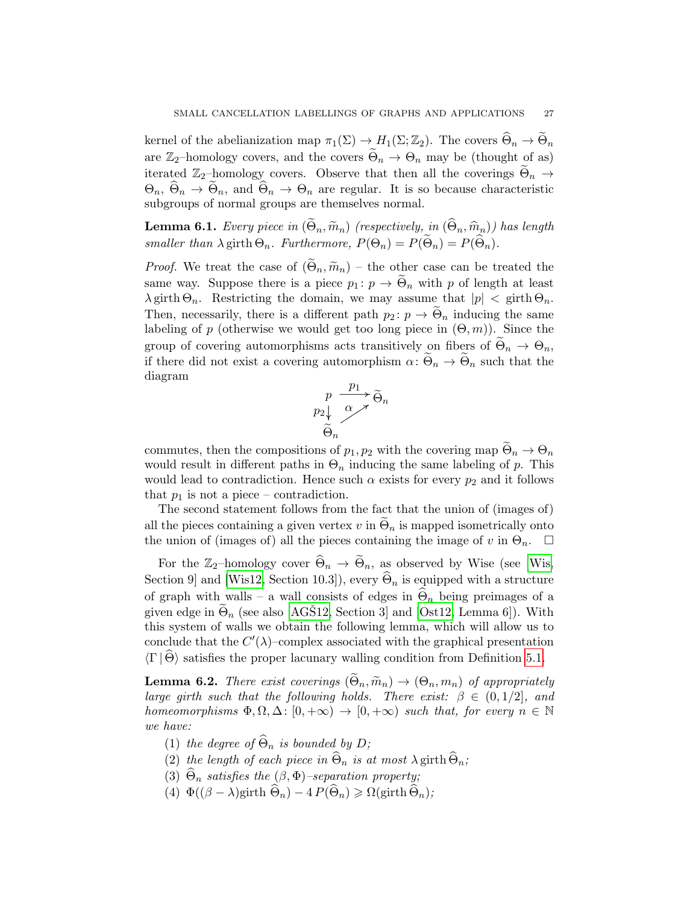kernel of the abelianization map  $\pi_1(\Sigma) \to H_1(\Sigma; \mathbb{Z}_2)$ . The covers  $\widehat{\Theta}_n \to \widetilde{\Theta}_n$ are  $\mathbb{Z}_2$ -homology covers, and the covers  $\widetilde{\Theta}_n \to \Theta_n$  may be (thought of as) iterated  $\mathbb{Z}_2$ -homology covers. Observe that then all the coverings  $\widetilde{\Theta}_n \to$  $\Theta_n$ ,  $\widehat{\Theta}_n \to \widetilde{\Theta}_n$ , and  $\widehat{\Theta}_n \to \Theta_n$  are regular. It is so because characteristic subgroups of normal groups are themselves normal.

<span id="page-26-1"></span>**Lemma 6.1.** Every piece in  $(\widetilde{\Theta}_n, \widetilde{m}_n)$  (respectively, in  $(\widehat{\Theta}_n, \widehat{m}_n)$ ) has length smaller than  $\lambda$  girth  $\Theta_n$ . Furthermore,  $P(\Theta_n) = P(\widetilde{\Theta}_n) = P(\widetilde{\Theta}_n)$ .

*Proof.* We treat the case of  $(\tilde{\Theta}_n, \tilde{m}_n)$  – the other case can be treated the same way. Suppose there is a piece  $p_1: p \to \Theta_n$  with p of length at least  $\lambda$  girth  $\Theta_n$ . Restricting the domain, we may assume that  $|p| < \text{girth } \Theta_n$ . Then, necessarily, there is a different path  $p_2 : p \to \Theta_n$  inducing the same labeling of p (otherwise we would get too long piece in  $(\Theta, m)$ ). Since the group of covering automorphisms acts transitively on fibers of  $\Theta_n \to \Theta_n$ , if there did not exist a covering automorphism  $\alpha: \Theta_n \to \Theta_n$  such that the diagram

$$
p \xrightarrow{\begin{array}{c} p \to \\ p_2 \downarrow \\ \widetilde{\Theta}_n \end{array}} \widetilde{\Theta}_n
$$

commutes, then the compositions of  $p_1, p_2$  with the covering map  $\Theta_n \to \Theta_n$ would result in different paths in  $\Theta_n$  inducing the same labeling of p. This would lead to contradiction. Hence such  $\alpha$  exists for every  $p_2$  and it follows that  $p_1$  is not a piece – contradiction.

The second statement follows from the fact that the union of (images of) all the pieces containing a given vertex  $v$  in  $\Theta_n$  is mapped isometrically onto the union of (images of) all the pieces containing the image of v in  $\Theta_n$ .  $\square$ 

For the Z<sub>2</sub>–homology cover  $\widehat{\Theta}_n \to \widetilde{\Theta}_n$ , as observed by Wise (see [\[Wis,](#page-30-4) Section 9 and [\[Wis12,](#page-30-5) Section 10.3]), every  $\widehat{\Theta}_n$  is equipped with a structure of graph with walls – a wall consists of edges in  $\widehat{\Theta}_n$  being preimages of a given edge in  $\widetilde{\Theta}_n$  (see also [\[AGS12,](#page-28-8) Section 3] and [\[Ost12,](#page-29-15) Lemma 6]). With this system of walls we obtain the following lemma, which will allow us to conclude that the  $C'(\lambda)$ -complex associated with the graphical presentation  $\langle \Gamma | \Theta \rangle$  satisfies the proper lacunary walling condition from Definition [5.1.](#page-20-1)

<span id="page-26-0"></span>**Lemma 6.2.** There exist coverings  $(\widetilde{\Theta}_n, \widetilde{m}_n) \rightarrow (\Theta_n, m_n)$  of appropriately large girth such that the following holds. There exist:  $\beta \in (0, 1/2]$ , and homeomorphisms  $\Phi, \Omega, \Delta: [0, +\infty) \to [0, +\infty)$  such that, for every  $n \in \mathbb{N}$ we have:

- (1) the degree of  $\widehat{\Theta}_n$  is bounded by D;
- (2) the length of each piece in  $\widehat{\Theta}_n$  is at most  $\lambda$  girth  $\widehat{\Theta}_n$ ;
- (3)  $\widehat{\Theta}_n$  satisfies the  $(\beta, \Phi)$ –separation property;
- (4)  $\Phi((\beta \lambda)$ girth  $\widehat{\Theta}_n) 4 P(\widehat{\Theta}_n) \ge \Omega(\text{girth } \widehat{\Theta}_n);$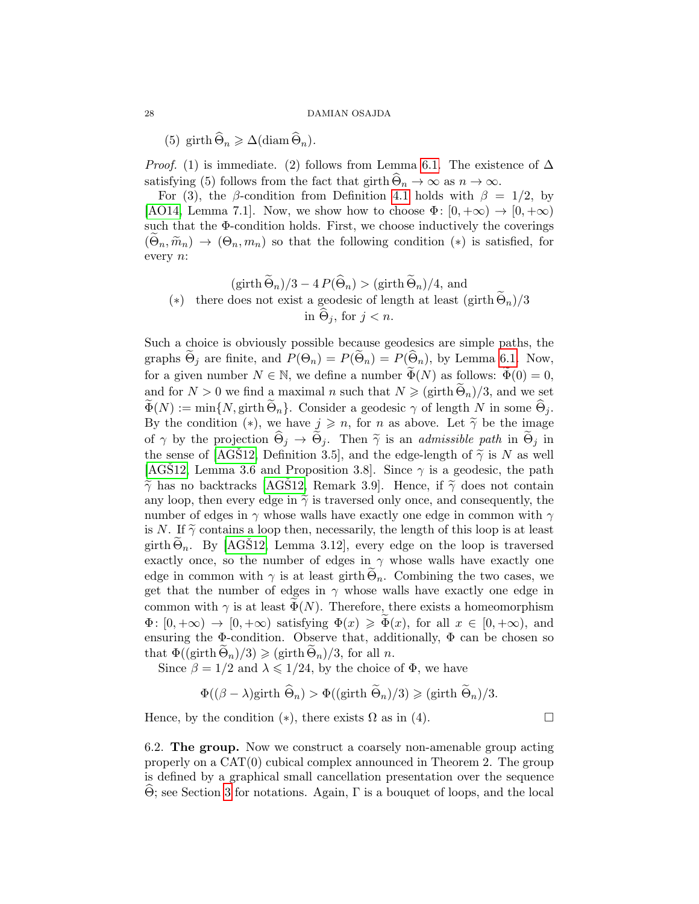(5) girth  $\widehat{\Theta}_n \geq \Delta(\text{diam}\,\widehat{\Theta}_n)$ .

*Proof.* (1) is immediate. (2) follows from Lemma [6.1.](#page-26-1) The existence of  $\Delta$ satisfying (5) follows from the fact that girth  $\widehat{\Theta}_n \to \infty$  as  $n \to \infty$ .

For (3), the β-condition from Definition [4.1](#page-18-1) holds with  $\beta = 1/2$ , by [\[AO14,](#page-28-4) Lemma 7.1]. Now, we show how to choose  $\Phi: [0, +\infty) \to [0, +\infty)$ such that the  $\Phi$ -condition holds. First, we choose inductively the coverings  $(\Theta_n, \widetilde{m}_n) \to (\Theta_n, m_n)$  so that the following condition  $(*)$  is satisfied, for every n:

$$
(\text{girth }\widetilde{\Theta}_n)/3 - 4 P(\widehat{\Theta}_n) > (\text{girth }\widetilde{\Theta}_n)/4, \text{ and}
$$
  

$$
(*) \quad \text{there does not exist a geodesic of length at least } (\text{girth }\widetilde{\Theta}_n)/3
$$

$$
\text{in }\widehat{\Theta}_j, \text{ for } j < n.
$$

Such a choice is obviously possible because geodesics are simple paths, the graphs  $\Theta_j$  are finite, and  $P(\Theta_n) = P(\Theta_n) = P(\Theta_n)$ , by Lemma [6.1.](#page-26-1) Now, for a given number  $N \in \mathbb{N}$ , we define a number  $\widetilde{\Phi}(N)$  as follows:  $\widetilde{\Phi}(0) = 0$ , and for  $N > 0$  we find a maximal n such that  $N \geq (\text{girth } \Theta_n)/3$ , and we set  $\widetilde{\Phi}(N) := \min\{N, \text{girth } \Theta_n\}.$  Consider a geodesic  $\gamma$  of length N in some  $\widehat{\Theta}_j$ . By the condition (\*), we have  $j \geq n$ , for n as above. Let  $\tilde{\gamma}$  be the image of  $\gamma$  by the projection  $\widehat{\Theta}_j \to \widetilde{\Theta}_j$ . Then  $\widetilde{\gamma}$  is an *admissible path* in  $\widetilde{\Theta}_j$  in the sense of [\[AGS12,](#page-28-8) Definition 3.5], and the edge-length of  $\tilde{\gamma}$  is N as well [\[AGS12,](#page-28-8) Lemma 3.6 and Proposition 3.8]. Since  $\gamma$  is a geodesic, the path  $\tilde{\gamma}$  has no backtracks [\[AGS12,](#page-28-8) Remark 3.9]. Hence, if  $\tilde{\gamma}$  does not contain any loop, then every edge in  $\tilde{\gamma}$  is traversed only once, and consequently, the number of edges in  $\gamma$  whose walls have exactly one edge in common with  $\gamma$ is N. If  $\tilde{\gamma}$  contains a loop then, necessarily, the length of this loop is at least girth  $\Theta_n$ . By [\[AGS12,](#page-28-8) Lemma 3.12], every edge on the loop is traversed exactly once, so the number of edges in  $\gamma$  whose walls have exactly one edge in common with  $\gamma$  is at least girth  $\Theta_n$ . Combining the two cases, we get that the number of edges in  $\gamma$  whose walls have exactly one edge in common with  $\gamma$  is at least  $\Phi(N)$ . Therefore, there exists a homeomorphism  $\Phi: [0, +\infty) \to [0, +\infty)$  satisfying  $\Phi(x) \ge \Phi(x)$ , for all  $x \in [0, +\infty)$ , and ensuring the  $\Phi$ -condition. Observe that, additionally,  $\Phi$  can be chosen so that  $\Phi((\text{girth }\Theta_n)/3) \geqslant (\text{girth }\Theta_n)/3$ , for all n.

Since  $\beta = 1/2$  and  $\lambda \leq 1/24$ , by the choice of  $\Phi$ , we have

$$
\Phi((\beta - \lambda)\text{girth }\widehat{\Theta}_n) > \Phi((\text{girth }\widetilde{\Theta}_n)/3) \geq (\text{girth }\widetilde{\Theta}_n)/3.
$$

Hence, by the condition  $(*)$ , there exists  $\Omega$  as in (4).

<span id="page-27-0"></span>6.2. The group. Now we construct a coarsely non-amenable group acting properly on a CAT(0) cubical complex announced in Theorem 2. The group is defined by a graphical small cancellation presentation over the sequence Θ; see Section [3](#page-15-0) for notations. Again, Γ is a bouquet of loops, and the local <sup>b</sup>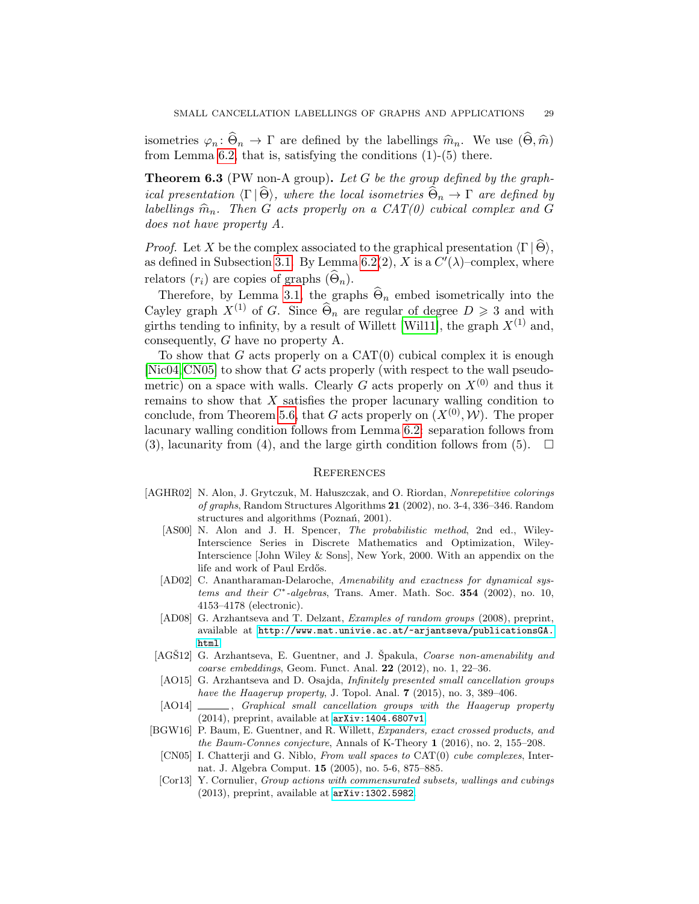isometries  $\varphi_n : \Theta_n \to \Gamma$  are defined by the labellings  $\hat{m}_n$ . We use  $(\Theta, \hat{m})$ from Lemma [6.2,](#page-26-0) that is, satisfying the conditions (1)-(5) there.

<span id="page-28-5"></span>**Theorem 6.3** (PW non-A group). Let G be the group defined by the graphical presentation  $\langle \Gamma | \Theta \rangle$ , where the local isometries  $\Theta_n \to \Gamma$  are defined by labellings  $\widehat{m}_n$ . Then G acts properly on a CAT(0) cubical complex and G does not have property A.

*Proof.* Let X be the complex associated to the graphical presentation  $\langle \Gamma | \Theta \rangle$ , as defined in Subsection [3.1.](#page-15-2) By Lemma [6.2\(](#page-26-0)2), X is a  $C'(\lambda)$ -complex, where relators  $(r_i)$  are copies of graphs  $(\Theta_n)$ .

Therefore, by Lemma [3.1,](#page-16-0) the graphs  $\widehat{\Theta}_n$  embed isometrically into the Cayley graph  $X^{(1)}$  of G. Since  $\widehat{\Theta}_n$  are regular of degree  $D \geq 3$  and with girths tending to infinity, by a result of Willett [\[Wil11\]](#page-30-2), the graph  $X^{(1)}$  and, consequently, G have no property A.

To show that G acts properly on a  $CAT(0)$  cubical complex it is enough [\[Nic04,](#page-29-13) [CN05\]](#page-28-6) to show that G acts properly (with respect to the wall pseudometric) on a space with walls. Clearly G acts properly on  $X^{(0)}$  and thus it remains to show that X satisfies the proper lacunary walling condition to conclude, from Theorem [5.6,](#page-24-0) that G acts properly on  $(X^{(0)}, W)$ . The proper lacunary walling condition follows from Lemma [6.2:](#page-26-0) separation follows from (3), lacunarity from (4), and the large girth condition follows from (5).  $\Box$ 

#### **REFERENCES**

- <span id="page-28-3"></span><span id="page-28-2"></span><span id="page-28-1"></span>[AGHR02] N. Alon, J. Grytczuk, M. Hałuszczak, and O. Riordan, Nonrepetitive colorings of graphs, Random Structures Algorithms 21 (2002), no. 3-4, 336–346. Random structures and algorithms (Poznań, 2001).
	- [AS00] N. Alon and J. H. Spencer, The probabilistic method, 2nd ed., Wiley-Interscience Series in Discrete Mathematics and Optimization, Wiley-Interscience [John Wiley & Sons], New York, 2000. With an appendix on the life and work of Paul Erdős.
	- [AD02] C. Anantharaman-Delaroche, Amenability and exactness for dynamical sys $tems$  and their  $C^*$ -algebras, Trans. Amer. Math. Soc. 354 (2002), no. 10, 4153–4178 (electronic).
	- [AD08] G. Arzhantseva and T. Delzant, Examples of random groups (2008), preprint, available at [http://www.mat.univie.ac.at/~arjantseva/publicationsGA.](http://www.mat.univie.ac.at/~arjantseva/publicationsGA.html) [html](http://www.mat.univie.ac.at/~arjantseva/publicationsGA.html).
	- [AGS12] G. Arzhantseva, E. Guentner, and J. Spakula, *Coarse non-amenability and* coarse embeddings, Geom. Funct. Anal.  $22$  (2012), no. 1, 22–36.
	- [AO15] G. Arzhantseva and D. Osajda, Infinitely presented small cancellation groups have the Haagerup property, J. Topol. Anal.  $7$  (2015), no. 3, 389–406.
	- [AO14]  $\qquad \qquad$ , Graphical small cancellation groups with the Haagerup property (2014), preprint, available at <arXiv:1404.6807v1>.
- <span id="page-28-10"></span><span id="page-28-9"></span><span id="page-28-8"></span><span id="page-28-7"></span><span id="page-28-6"></span><span id="page-28-4"></span><span id="page-28-0"></span>[BGW16] P. Baum, E. Guentner, and R. Willett, Expanders, exact crossed products, and the Baum-Connes conjecture, Annals of K-Theory 1 (2016), no. 2, 155–208.
	- [CN05] I. Chatterji and G. Niblo, From wall spaces to CAT(0) cube complexes, Internat. J. Algebra Comput. 15 (2005), no. 5-6, 875–885.
	- [Cor13] Y. Cornulier, Group actions with commensurated subsets, wallings and cubings (2013), preprint, available at [arXiv:1302.5982]( arXiv:1302.5982 ).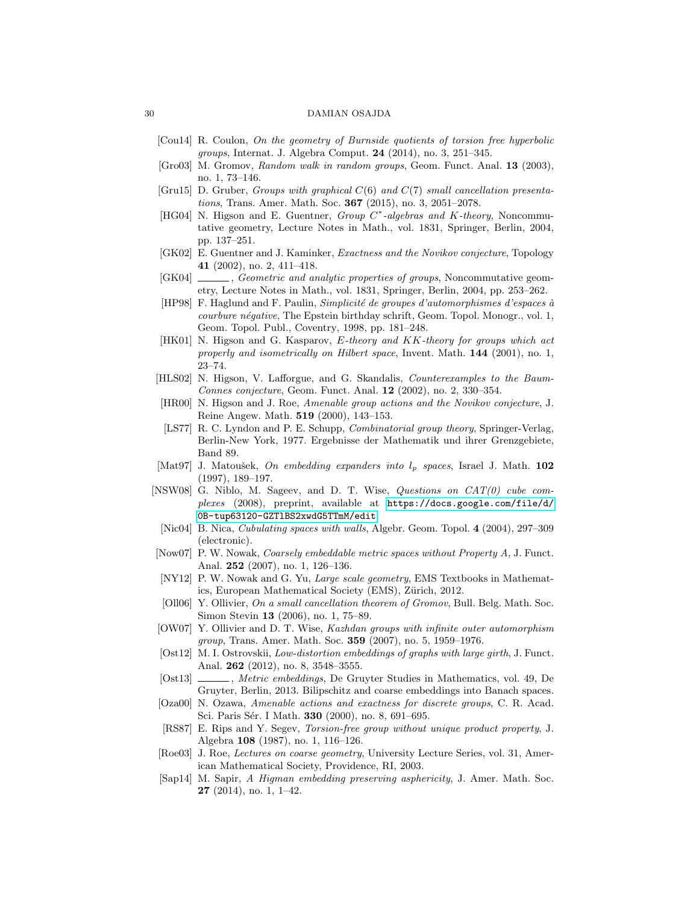- <span id="page-29-1"></span>[Cou14] R. Coulon, On the geometry of Burnside quotients of torsion free hyperbolic groups, Internat. J. Algebra Comput. 24 (2014), no. 3, 251–345.
- <span id="page-29-0"></span>[Gro03] M. Gromov, Random walk in random groups, Geom. Funct. Anal. 13 (2003), no. 1, 73–146.
- <span id="page-29-22"></span>[Gru15] D. Gruber, *Groups with graphical*  $C(6)$  and  $C(7)$  small cancellation presentations, Trans. Amer. Math. Soc. **367** (2015), no. 3, 2051–2078.
- <span id="page-29-9"></span>[HG04] N. Higson and E. Guentner, Group C<sup>\*</sup>-algebras and K-theory, Noncommutative geometry, Lecture Notes in Math., vol. 1831, Springer, Berlin, 2004, pp. 137–251.
- <span id="page-29-6"></span>[GK02] E. Guentner and J. Kaminker, Exactness and the Novikov conjecture, Topology 41 (2002), no. 2, 411–418.
- <span id="page-29-10"></span>[GK04]  $\qquad \qquad$ , Geometric and analytic properties of groups, Noncommutative geometry, Lecture Notes in Math., vol. 1831, Springer, Berlin, 2004, pp. 253–262.
- <span id="page-29-12"></span>[HP98] F. Haglund and F. Paulin, Simplicité de groupes d'automorphismes d'espaces à courbure négative, The Epstein birthday schrift, Geom. Topol. Monogr., vol. 1, Geom. Topol. Publ., Coventry, 1998, pp. 181–248.
- <span id="page-29-16"></span>[HK01] N. Higson and G. Kasparov, E-theory and KK-theory for groups which act properly and isometrically on Hilbert space, Invent. Math. 144 (2001), no. 1, 23–74.
- <span id="page-29-17"></span>[HLS02] N. Higson, V. Lafforgue, and G. Skandalis, Counterexamples to the Baum-Connes conjecture, Geom. Funct. Anal. 12 (2002), no. 2, 330–354.
- <span id="page-29-5"></span>[HR00] N. Higson and J. Roe, Amenable group actions and the Novikov conjecture, J. Reine Angew. Math. 519 (2000), 143–153.
- <span id="page-29-20"></span>[LS77] R. C. Lyndon and P. E. Schupp, Combinatorial group theory, Springer-Verlag, Berlin-New York, 1977. Ergebnisse der Mathematik und ihrer Grenzgebiete, Band 89.
- <span id="page-29-23"></span>[Mat97] J. Matoušek, On embedding expanders into  $l_p$  spaces, Israel J. Math. 102 (1997), 189–197.
- <span id="page-29-11"></span>[NSW08] G. Niblo, M. Sageev, and D. T. Wise, Questions on CAT(0) cube complexes (2008), preprint, available at [https://docs.google.com/file/d/](https://docs.google.com/file/d/0B-tup63120-GZTlBS2xwdG5TTmM/edit) [0B-tup63120-GZTlBS2xwdG5TTmM/edit](https://docs.google.com/file/d/0B-tup63120-GZTlBS2xwdG5TTmM/edit).
- <span id="page-29-13"></span>[Nic04] B. Nica, Cubulating spaces with walls, Algebr. Geom. Topol. 4 (2004), 297–309 (electronic).
- <span id="page-29-14"></span>[Now07] P. W. Nowak, Coarsely embeddable metric spaces without Property A, J. Funct. Anal. 252 (2007), no. 1, 126–136.
- <span id="page-29-4"></span>[NY12] P. W. Nowak and G. Yu, Large scale geometry, EMS Textbooks in Mathematics, European Mathematical Society (EMS), Zürich, 2012.
- <span id="page-29-3"></span>[Oll06] Y. Ollivier, On a small cancellation theorem of Gromov, Bull. Belg. Math. Soc. Simon Stevin 13 (2006), no. 1, 75–89.
- <span id="page-29-19"></span>[OW07] Y. Ollivier and D. T. Wise, Kazhdan groups with infinite outer automorphism group, Trans. Amer. Math. Soc. 359 (2007), no. 5, 1959–1976.
- <span id="page-29-15"></span>[Ost12] M. I. Ostrovskii, *Low-distortion embeddings of graphs with large girth*, J. Funct. Anal. 262 (2012), no. 8, 3548–3555.
- <span id="page-29-2"></span>[Ost13] \_\_\_\_, Metric embeddings, De Gruyter Studies in Mathematics, vol. 49, De Gruyter, Berlin, 2013. Bilipschitz and coarse embeddings into Banach spaces.
- <span id="page-29-7"></span>[Oza00] N. Ozawa, Amenable actions and exactness for discrete groups, C. R. Acad. Sci. Paris Sér. I Math. 330 (2000), no. 8, 691-695.
- <span id="page-29-21"></span>[RS87] E. Rips and Y. Segev, Torsion-free group without unique product property, J. Algebra 108 (1987), no. 1, 116–126.
- <span id="page-29-8"></span>[Roe03] J. Roe, Lectures on coarse geometry, University Lecture Series, vol. 31, American Mathematical Society, Providence, RI, 2003.
- <span id="page-29-18"></span>[Sap14] M. Sapir, A Higman embedding preserving asphericity, J. Amer. Math. Soc. 27 (2014), no. 1, 1–42.